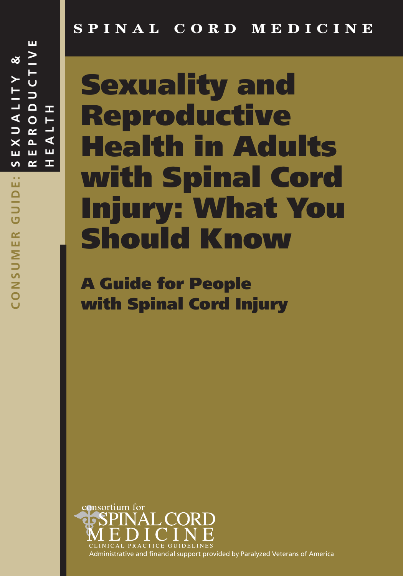# **SPINAL CORD MEDICINE**

# **Sexuality and Reproductive Health in Adults with Spinal Cord Injury: What You Should Know**

**A Guide for People with Spinal Cord Injury**



Administrative and financial support provided by Paralyzed Veterans of America

**S E X U A L I T Y &** SEXUALIY ய  $\alpha$ CONSUMER GUIDE: **CONSUMER GUIDE:**

**R E P R O D U C T I V E**

 $\circ$ 

 $\alpha$  $\Delta$ 

DUCT

ш

 $\approx$   $\geq$ 

**H E A L T**

⋖ ш

Œ

**H**

 $\vdash$  $\overline{\phantom{0}}$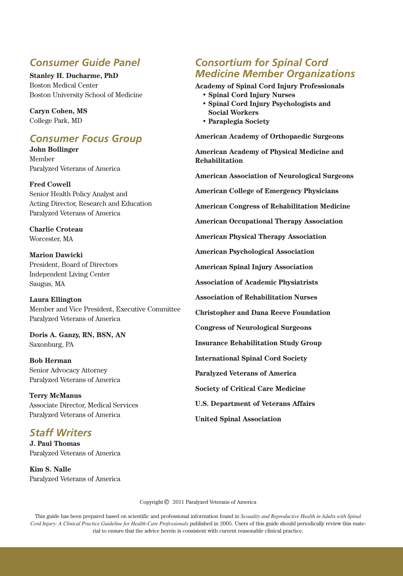## *Consumer Guide Panel*

**Stanley H. Ducharme, PhD** Boston Medical Center Boston University School of Medicine

**Caryn Cohen, MS** College Park, MD

## *Consumer Focus Group*

**John Bollinger** Member Paralyzed Veterans of America

**Fred Cowell** Senior Health Policy Analyst and Acting Director, Research and Education Paralyzed Veterans of America

**Charlie Croteau** Worcester, MA

**Marion Dawicki** President, Board of Directors Independent Living Center Saugus, MA

**Laura Ellington** Member and Vice President, Executive Committee Paralyzed Veterans of America

**Doris A. Ganzy, RN, BSN, AN** Saxonburg, PA

**Bob Herman** Senior Advocacy Attorney Paralyzed Veterans of America

**Terry McManus** Associate Director, Medical Services Paralyzed Veterans of America

## *Staff Writers*

**J. Paul Thomas** Paralyzed Veterans of America

**Kim S. Nalle** Paralyzed Veterans of America

## *Consortium for Spinal Cord Medicine Member Organizations*

**Academy of Spinal Cord Injury Professionals • Spinal Cord Injury Nurses**

- **Spinal Cord Injury Psychologists and Social Workers**
- **Paraplegia Society**

**American Academy of Orthopaedic Surgeons**

**American Academy of Physical Medicine and Rehabilitation**

**American Association of Neurological Surgeons**

**American College of Emergency Physicians**

**American Congress of Rehabilitation Medicine**

**American Occupational Therapy Association**

**American Physical Therapy Association**

**American Psychological Association**

**American Spinal Injury Association**

**Association of Academic Physiatrists**

**Association of Rehabilitation Nurses**

**Christopher and Dana Reeve Foundation**

**Congress of Neurological Surgeons**

**Insurance Rehabilitation Study Group**

**International Spinal Cord Society**

**Paralyzed Veterans of America**

**Society of Critical Care Medicine**

**U.S. Department of Veterans Affairs**

**United Spinal Association**

Copyright  $\odot$  2011 Paralyzed Veterans of America

This guide has been prepared based on scientific and professional information found in *Sexuality and Reproductive Health in Adults with Spinal Cord Injury: A Clinical Practice Guideline for Health-Care Professionals* published in 2005. Users of this guide should periodically review this material to ensure that the advice herein is consistent with current reasonable clinical practice.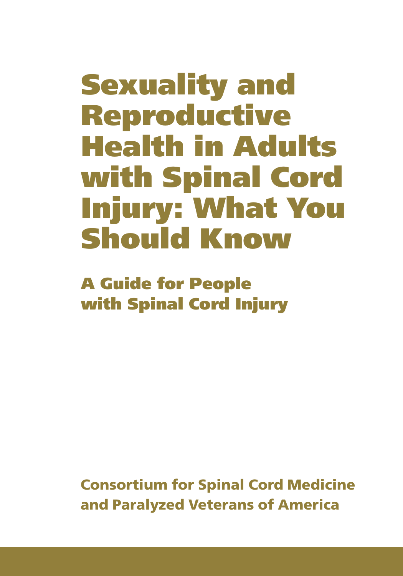# **Sexuality and Reproductive Health in Adults with Spinal Cord Injury: What You Should Know**

**A Guide for People with Spinal Cord Injury**

**Consortium for Spinal Cord Medicine and Paralyzed Veterans of America**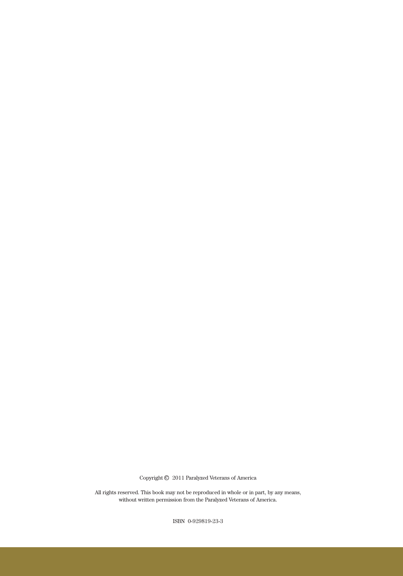Copyright  $\odot$  2011 Paralyzed Veterans of America

All rights reserved. This book may not be reproduced in whole or in part, by any means, without written permission from the Paralyzed Veterans of America.

ISBN 0-929819-23-3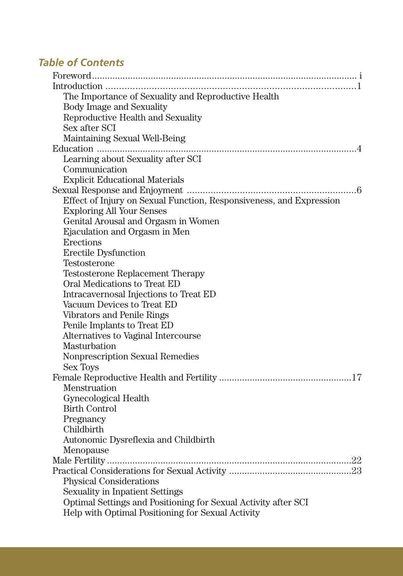## *Table of Contents*

| The Importance of Sexuality and Reproductive Health                 |
|---------------------------------------------------------------------|
| Body Image and Sexuality                                            |
| Reproductive Health and Sexuality                                   |
| Sex after SCI                                                       |
| Maintaining Sexual Well-Being                                       |
| Education                                                           |
| Learning about Sexuality after SCI                                  |
| Communication                                                       |
| <b>Explicit Educational Materials</b>                               |
|                                                                     |
| Effect of Injury on Sexual Function, Responsiveness, and Expression |
| <b>Exploring All Your Senses</b>                                    |
| Genital Arousal and Orgasm in Women                                 |
| Ejaculation and Orgasm in Men                                       |
| <b>Erections</b>                                                    |
| <b>Erectile Dysfunction</b>                                         |
| Testosterone                                                        |
| <b>Testosterone Replacement Therapy</b>                             |
| Oral Medications to Treat ED                                        |
| Intracavernosal Injections to Treat ED                              |
| Vacuum Devices to Treat ED                                          |
| Vibrators and Penile Rings                                          |
| Penile Implants to Treat ED                                         |
| Alternatives to Vaginal Intercourse                                 |
| Masturbation                                                        |
| <b>Nonprescription Sexual Remedies</b>                              |
| <b>Sex Toys</b>                                                     |
|                                                                     |
| <b>Menstruation</b>                                                 |
| Gynecological Health                                                |
| <b>Birth Control</b>                                                |
| Pregnancy                                                           |
| Childbirth                                                          |
| Autonomic Dysreflexia and Childbirth                                |
| Menopause                                                           |
|                                                                     |
|                                                                     |
| <b>Physical Considerations</b>                                      |
| <b>Sexuality in Inpatient Settings</b>                              |
| Optimal Settings and Positioning for Sexual Activity after SCI      |
| Help with Optimal Positioning for Sexual Activity                   |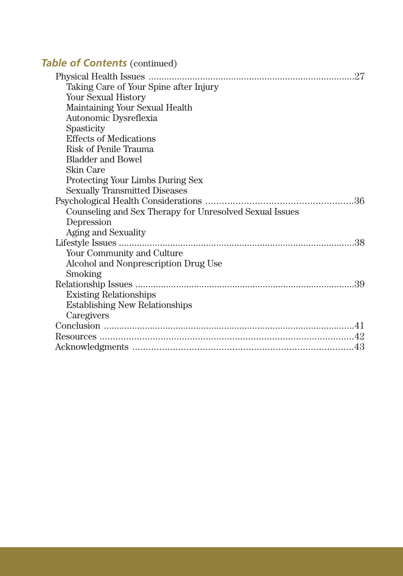## **Table of Contents** (continued)

| Taking Care of Your Spine after Injury                  |
|---------------------------------------------------------|
| <b>Your Sexual History</b>                              |
| Maintaining Your Sexual Health                          |
| Autonomic Dysreflexia                                   |
| Spasticity                                              |
| <b>Effects of Medications</b>                           |
| <b>Risk of Penile Trauma</b>                            |
| <b>Bladder and Bowel</b>                                |
| <b>Skin Care</b>                                        |
| Protecting Your Limbs During Sex                        |
| <b>Sexually Transmitted Diseases</b>                    |
|                                                         |
| Counseling and Sex Therapy for Unresolved Sexual Issues |
| Depression                                              |
| Aging and Sexuality                                     |
|                                                         |
| Your Community and Culture                              |
| Alcohol and Nonprescription Drug Use                    |
| Smoking                                                 |
|                                                         |
| <b>Existing Relationships</b>                           |
| <b>Establishing New Relationships</b>                   |
| Caregivers                                              |
|                                                         |
|                                                         |
|                                                         |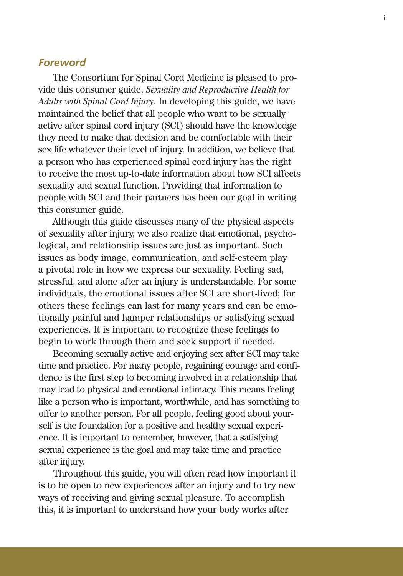#### *Foreword*

The Consortium for Spinal Cord Medicine is pleased to provide this consumer guide, *Sexuality and Reproductive Health for Adults with Spinal Cord Injury*. In developing this guide, we have maintained the belief that all people who want to be sexually active after spinal cord injury (SCI) should have the knowledge they need to make that decision and be comfortable with their sex life whatever their level of injury. In addition, we believe that a person who has experienced spinal cord injury has the right to receive the most up-to-date information about how SCI affects sexuality and sexual function. Providing that information to people with SCI and their partners has been our goal in writing this consumer guide.

Although this guide discusses many of the physical aspects of sexuality after injury, we also realize that emotional, psychological, and relationship issues are just as important. Such issues as body image, communication, and self-esteem play a pivotal role in how we express our sexuality. Feeling sad, stressful, and alone after an injury is understandable. For some individuals, the emotional issues after SCI are short-lived; for others these feelings can last for many years and can be emotionally painful and hamper relationships or satisfying sexual experiences. It is important to recognize these feelings to begin to work through them and seek support if needed.

Becoming sexually active and enjoying sex after SCI may take time and practice. For many people, regaining courage and confidence is the first step to becoming involved in a relationship that may lead to physical and emotional intimacy. This means feeling like a person who is important, worthwhile, and has something to offer to another person. For all people, feeling good about yourself is the foundation for a positive and healthy sexual experience. It is important to remember, however, that a satisfying sexual experience is the goal and may take time and practice after injury.

Throughout this guide, you will often read how important it is to be open to new experiences after an injury and to try new ways of receiving and giving sexual pleasure. To accomplish this, it is important to understand how your body works after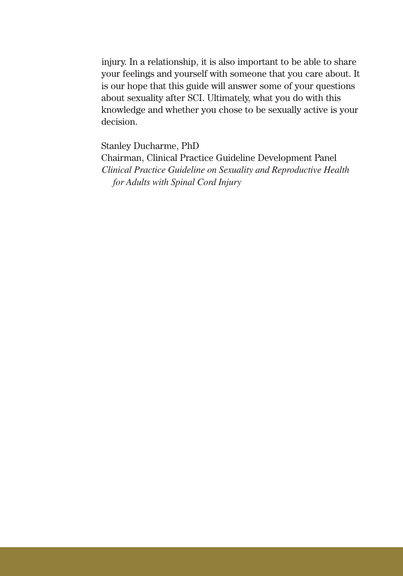injury. In a relationship, it is also important to be able to share your feelings and yourself with someone that you care about. It is our hope that this guide will answer some of your questions about sexuality after SCI. Ultimately, what you do with this knowledge and whether you chose to be sexually active is your decision.

Stanley Ducharme, PhD

Chairman, Clinical Practice Guideline Development Panel *Clinical Practice Guideline on Sexuality and Reproductive Health for Adults with Spinal Cord Injury*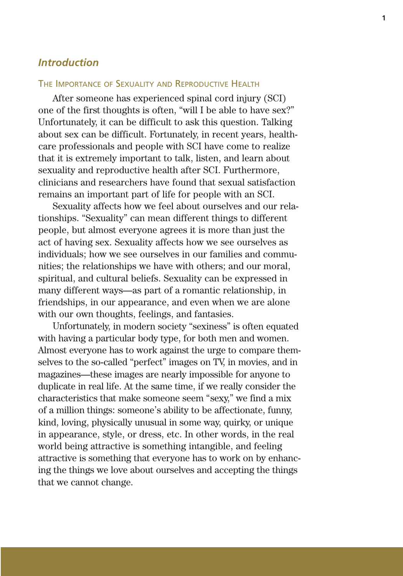## *Introduction*

#### THE IMPORTANCE OF SEXUALITY AND REPRODUCTIVE HEALTH

After someone has experienced spinal cord injury (SCI) one of the first thoughts is often, "will I be able to have sex?" Unfortunately, it can be difficult to ask this question. Talking about sex can be difficult. Fortunately, in recent years, healthcare professionals and people with SCI have come to realize that it is extremely important to talk, listen, and learn about sexuality and reproductive health after SCI. Furthermore, clinicians and researchers have found that sexual satisfaction remains an important part of life for people with an SCI.

Sexuality affects how we feel about ourselves and our relationships. "Sexuality" can mean different things to different people, but almost everyone agrees it is more than just the act of having sex. Sexuality affects how we see ourselves as individuals; how we see ourselves in our families and communities; the relationships we have with others; and our moral, spiritual, and cultural beliefs. Sexuality can be expressed in many different ways—as part of a romantic relationship, in friendships, in our appearance, and even when we are alone with our own thoughts, feelings, and fantasies.

Unfortunately, in modern society "sexiness" is often equated with having a particular body type, for both men and women. Almost everyone has to work against the urge to compare themselves to the so-called "perfect" images on TV, in movies, and in magazines—these images are nearly impossible for anyone to duplicate in real life. At the same time, if we really consider the characteristics that make someone seem "sexy," we find a mix of a million things: someone's ability to be affectionate, funny, kind, loving, physically unusual in some way, quirky, or unique in appearance, style, or dress, etc. In other words, in the real world being attractive is something intangible, and feeling attractive is something that everyone has to work on by enhancing the things we love about ourselves and accepting the things that we cannot change.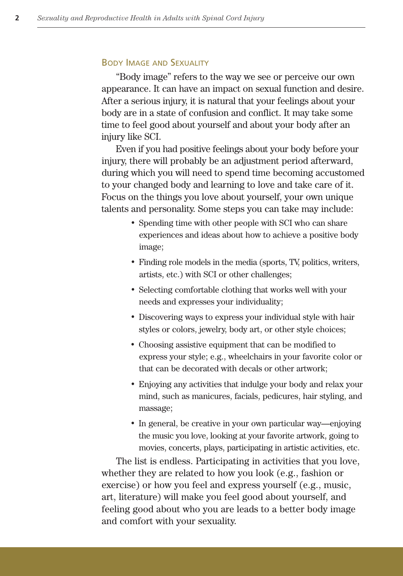#### BODY IMAGE AND SEXUALITY

"Body image" refers to the way we see or perceive our own appearance. It can have an impact on sexual function and desire. After a serious injury, it is natural that your feelings about your body are in a state of confusion and conflict. It may take some time to feel good about yourself and about your body after an injury like SCI.

Even if you had positive feelings about your body before your injury, there will probably be an adjustment period afterward, during which you will need to spend time becoming accustomed to your changed body and learning to love and take care of it. Focus on the things you love about yourself, your own unique talents and personality. Some steps you can take may include:

- Spending time with other people with SCI who can share experiences and ideas about how to achieve a positive body image;
- Finding role models in the media (sports, TV, politics, writers, artists, etc.) with SCI or other challenges;
- Selecting comfortable clothing that works well with your needs and expresses your individuality;
- Discovering ways to express your individual style with hair styles or colors, jewelry, body art, or other style choices;
- Choosing assistive equipment that can be modified to express your style; e.g., wheelchairs in your favorite color or that can be decorated with decals or other artwork;
- Enjoying any activities that indulge your body and relax your mind, such as manicures, facials, pedicures, hair styling, and massage;
- In general, be creative in your own particular way—enjoying the music you love, looking at your favorite artwork, going to movies, concerts, plays, participating in artistic activities, etc.

The list is endless. Participating in activities that you love, whether they are related to how you look (e.g., fashion or exercise) or how you feel and express yourself (e.g., music, art, literature) will make you feel good about yourself, and feeling good about who you are leads to a better body image and comfort with your sexuality.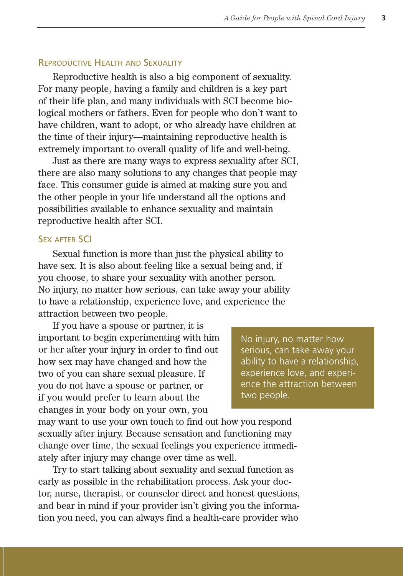#### REPRODUCTIVE HEALTH AND SEXUALITY

Reproductive health is also a big component of sexuality. For many people, having a family and children is a key part of their life plan, and many individuals with SCI become biological mothers or fathers. Even for people who don't want to have children, want to adopt, or who already have children at the time of their injury—maintaining reproductive health is extremely important to overall quality of life and well-being.

Just as there are many ways to express sexuality after SCI, there are also many solutions to any changes that people may face. This consumer guide is aimed at making sure you and the other people in your life understand all the options and possibilities available to enhance sexuality and maintain reproductive health after SCI.

#### **SEX AFTER SCI**

Sexual function is more than just the physical ability to have sex. It is also about feeling like a sexual being and, if you choose, to share your sexuality with another person. No injury, no matter how serious, can take away your ability to have a relationship, experience love, and experience the attraction between two people.

If you have a spouse or partner, it is important to begin experimenting with him or her after your injury in order to find out how sex may have changed and how the two of you can share sexual pleasure. If you do not have a spouse or partner, or if you would prefer to learn about the changes in your body on your own, you

No injury, no matter how serious, can take away your ability to have a relationship, experience love, and experience the attraction between two people.

may want to use your own touch to find out how you respond sexually after injury. Because sensation and functioning may change over time, the sexual feelings you experience immediately after injury may change over time as well.

Try to start talking about sexuality and sexual function as early as possible in the rehabilitation process. Ask your doctor, nurse, therapist, or counselor direct and honest questions, and bear in mind if your provider isn't giving you the information you need, you can always find a health-care provider who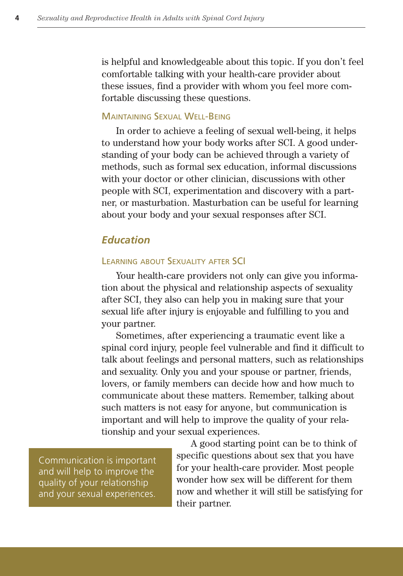is helpful and knowledgeable about this topic. If you don't feel comfortable talking with your health-care provider about these issues, find a provider with whom you feel more comfortable discussing these questions.

#### MAINTAINING SEXUAL WELL-BEING

In order to achieve a feeling of sexual well-being, it helps to understand how your body works after SCI. A good understanding of your body can be achieved through a variety of methods, such as formal sex education, informal discussions with your doctor or other clinician, discussions with other people with SCI, experimentation and discovery with a partner, or masturbation. Masturbation can be useful for learning about your body and your sexual responses after SCI.

## *Education*

#### LEARNING ABOUT SEXUALITY AFTER SCI

Your health-care providers not only can give you information about the physical and relationship aspects of sexuality after SCI, they also can help you in making sure that your sexual life after injury is enjoyable and fulfilling to you and your partner.

Sometimes, after experiencing a traumatic event like a spinal cord injury, people feel vulnerable and find it difficult to talk about feelings and personal matters, such as relationships and sexuality. Only you and your spouse or partner, friends, lovers, or family members can decide how and how much to communicate about these matters. Remember, talking about such matters is not easy for anyone, but communication is important and will help to improve the quality of your relationship and your sexual experiences.

Communication is important and will help to improve the quality of your relationship and your sexual experiences.

A good starting point can be to think of specific questions about sex that you have for your health-care provider. Most people wonder how sex will be different for them now and whether it will still be satisfying for their partner.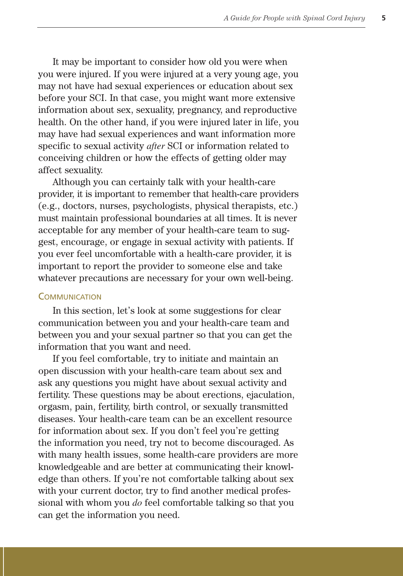It may be important to consider how old you were when you were injured. If you were injured at a very young age, you may not have had sexual experiences or education about sex before your SCI. In that case, you might want more extensive information about sex, sexuality, pregnancy, and reproductive health. On the other hand, if you were injured later in life, you may have had sexual experiences and want information more specific to sexual activity *after* SCI or information related to conceiving children or how the effects of getting older may affect sexuality.

Although you can certainly talk with your health-care provider, it is important to remember that health-care providers (e.g., doctors, nurses, psychologists, physical therapists, etc.) must maintain professional boundaries at all times. It is never acceptable for any member of your health-care team to suggest, encourage, or engage in sexual activity with patients. If you ever feel uncomfortable with a health-care provider, it is important to report the provider to someone else and take whatever precautions are necessary for your own well-being.

#### **COMMUNICATION**

In this section, let's look at some suggestions for clear communication between you and your health-care team and between you and your sexual partner so that you can get the information that you want and need.

If you feel comfortable, try to initiate and maintain an open discussion with your health-care team about sex and ask any questions you might have about sexual activity and fertility. These questions may be about erections, ejaculation, orgasm, pain, fertility, birth control, or sexually transmitted diseases. Your health-care team can be an excellent resource for information about sex. If you don't feel you're getting the information you need, try not to become discouraged. As with many health issues, some health-care providers are more knowledgeable and are better at communicating their knowledge than others. If you're not comfortable talking about sex with your current doctor, try to find another medical professional with whom you *do* feel comfortable talking so that you can get the information you need.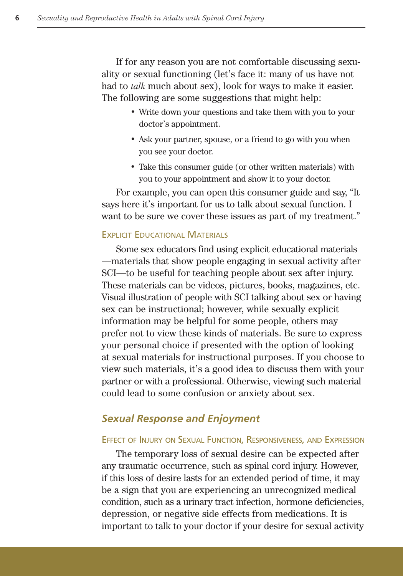If for any reason you are not comfortable discussing sexuality or sexual functioning (let's face it: many of us have not had to *talk* much about sex), look for ways to make it easier. The following are some suggestions that might help:

- Write down your questions and take them with you to your doctor's appointment.
- Ask your partner, spouse, or a friend to go with you when you see your doctor.
- Take this consumer guide (or other written materials) with you to your appointment and show it to your doctor.

For example, you can open this consumer guide and say, "It says here it's important for us to talk about sexual function. I want to be sure we cover these issues as part of my treatment."

#### EXPLICIT EDUCATIONAL MATERIALS

Some sex educators find using explicit educational materials —materials that show people engaging in sexual activity after SCI—to be useful for teaching people about sex after injury. These materials can be videos, pictures, books, magazines, etc. Visual illustration of people with SCI talking about sex or having sex can be instructional; however, while sexually explicit information may be helpful for some people, others may prefer not to view these kinds of materials. Be sure to express your personal choice if presented with the option of looking at sexual materials for instructional purposes. If you choose to view such materials, it's a good idea to discuss them with your partner or with a professional. Otherwise, viewing such material could lead to some confusion or anxiety about sex.

## *Sexual Response and Enjoyment*

#### EFFECT OF INJURY ON SEXUAL FUNCTION, RESPONSIVENESS, AND EXPRESSION

The temporary loss of sexual desire can be expected after any traumatic occurrence, such as spinal cord injury. However, if this loss of desire lasts for an extended period of time, it may be a sign that you are experiencing an unrecognized medical condition, such as a urinary tract infection, hormone deficiencies, depression, or negative side effects from medications. It is important to talk to your doctor if your desire for sexual activity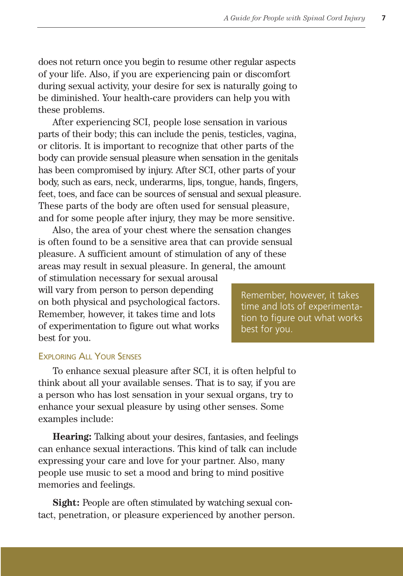does not return once you begin to resume other regular aspects of your life. Also, if you are experiencing pain or discomfort during sexual activity, your desire for sex is naturally going to be diminished. Your health-care providers can help you with these problems.

After experiencing SCI, people lose sensation in various parts of their body; this can include the penis, testicles, vagina, or clitoris. It is important to recognize that other parts of the body can provide sensual pleasure when sensation in the genitals has been compromised by injury. After SCI, other parts of your body, such as ears, neck, underarms, lips, tongue, hands, fingers, feet, toes, and face can be sources of sensual and sexual pleasure. These parts of the body are often used for sensual pleasure, and for some people after injury, they may be more sensitive.

Also, the area of your chest where the sensation changes is often found to be a sensitive area that can provide sensual pleasure. A sufficient amount of stimulation of any of these areas may result in sexual pleasure. In general, the amount

of stimulation necessary for sexual arousal will vary from person to person depending on both physical and psychological factors. Remember, however, it takes time and lots of experimentation to figure out what works best for you.

Remember, however, it takes time and lots of experimentation to figure out what works best for you.

#### EXPLORING ALL YOUR SENSES

To enhance sexual pleasure after SCI, it is often helpful to think about all your available senses. That is to say, if you are a person who has lost sensation in your sexual organs, try to enhance your sexual pleasure by using other senses. Some examples include:

**Hearing:** Talking about your desires, fantasies, and feelings can enhance sexual interactions. This kind of talk can include expressing your care and love for your partner. Also, many people use music to set a mood and bring to mind positive memories and feelings.

**Sight:** People are often stimulated by watching sexual contact, penetration, or pleasure experienced by another person.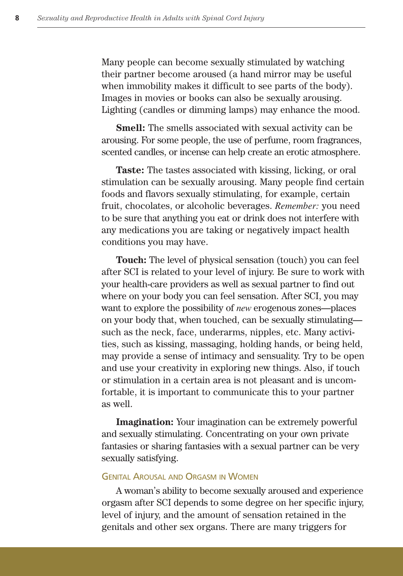Many people can become sexually stimulated by watching their partner become aroused (a hand mirror may be useful when immobility makes it difficult to see parts of the body). Images in movies or books can also be sexually arousing. Lighting (candles or dimming lamps) may enhance the mood.

**Smell:** The smells associated with sexual activity can be arousing. For some people, the use of perfume, room fragrances, scented candles, or incense can help create an erotic atmosphere.

**Taste:** The tastes associated with kissing, licking, or oral stimulation can be sexually arousing. Many people find certain foods and flavors sexually stimulating, for example, certain fruit, chocolates, or alcoholic beverages. *Remember:* you need to be sure that anything you eat or drink does not interfere with any medications you are taking or negatively impact health conditions you may have.

**Touch:** The level of physical sensation (touch) you can feel after SCI is related to your level of injury. Be sure to work with your health-care providers as well as sexual partner to find out where on your body you can feel sensation. After SCI, you may want to explore the possibility of *new* erogenous zones—places on your body that, when touched, can be sexually stimulating such as the neck, face, underarms, nipples, etc. Many activities, such as kissing, massaging, holding hands, or being held, may provide a sense of intimacy and sensuality. Try to be open and use your creativity in exploring new things. Also, if touch or stimulation in a certain area is not pleasant and is uncomfortable, it is important to communicate this to your partner as well.

**Imagination:** Your imagination can be extremely powerful and sexually stimulating. Concentrating on your own private fantasies or sharing fantasies with a sexual partner can be very sexually satisfying.

#### GENITAL AROUSAL AND ORGASM IN WOMEN

A woman's ability to become sexually aroused and experience orgasm after SCI depends to some degree on her specific injury, level of injury, and the amount of sensation retained in the genitals and other sex organs. There are many triggers for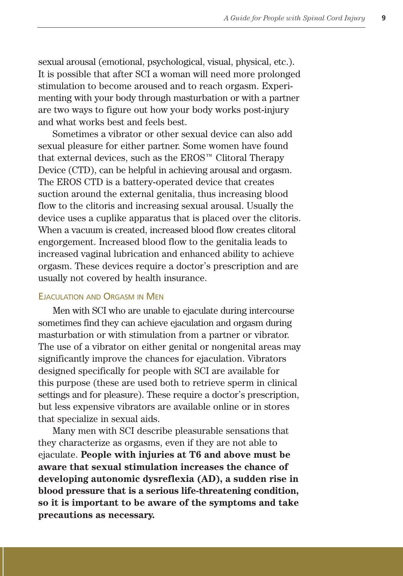sexual arousal (emotional, psychological, visual, physical, etc.). It is possible that after SCI a woman will need more prolonged stimulation to become aroused and to reach orgasm. Experimenting with your body through masturbation or with a partner are two ways to figure out how your body works post-injury and what works best and feels best.

Sometimes a vibrator or other sexual device can also add sexual pleasure for either partner. Some women have found that external devices, such as the EROS™ Clitoral Therapy Device (CTD), can be helpful in achieving arousal and orgasm. The EROS CTD is a battery-operated device that creates suction around the external genitalia, thus increasing blood flow to the clitoris and increasing sexual arousal. Usually the device uses a cuplike apparatus that is placed over the clitoris. When a vacuum is created, increased blood flow creates clitoral engorgement. Increased blood flow to the genitalia leads to increased vaginal lubrication and enhanced ability to achieve orgasm. These devices require a doctor's prescription and are usually not covered by health insurance.

#### EJACULATION AND ORGASM IN MEN

Men with SCI who are unable to ejaculate during intercourse sometimes find they can achieve ejaculation and orgasm during masturbation or with stimulation from a partner or vibrator. The use of a vibrator on either genital or nongenital areas may significantly improve the chances for ejaculation. Vibrators designed specifically for people with SCI are available for this purpose (these are used both to retrieve sperm in clinical settings and for pleasure). These require a doctor's prescription, but less expensive vibrators are available online or in stores that specialize in sexual aids.

Many men with SCI describe pleasurable sensations that they characterize as orgasms, even if they are not able to ejaculate. **People with injuries at T6 and above must be aware that sexual stimulation increases the chance of developing autonomic dysreflexia (AD), a sudden rise in blood pressure that is a serious life-threatening condition, so it is important to be aware of the symptoms and take precautions as necessary.**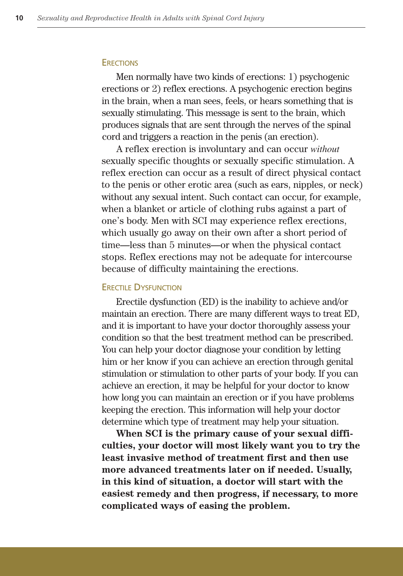#### **ERECTIONS**

Men normally have two kinds of erections: 1) psychogenic erections or 2) reflex erections. A psychogenic erection begins in the brain, when a man sees, feels, or hears something that is sexually stimulating. This message is sent to the brain, which produces signals that are sent through the nerves of the spinal cord and triggers a reaction in the penis (an erection).

A reflex erection is involuntary and can occur *without* sexually specific thoughts or sexually specific stimulation. A reflex erection can occur as a result of direct physical contact to the penis or other erotic area (such as ears, nipples, or neck) without any sexual intent. Such contact can occur, for example, when a blanket or article of clothing rubs against a part of one's body. Men with SCI may experience reflex erections, which usually go away on their own after a short period of time—less than 5 minutes—or when the physical contact stops. Reflex erections may not be adequate for intercourse because of difficulty maintaining the erections.

#### ERECTILE DYSFUNCTION

Erectile dysfunction (ED) is the inability to achieve and/or maintain an erection. There are many different ways to treat ED, and it is important to have your doctor thoroughly assess your condition so that the best treatment method can be prescribed. You can help your doctor diagnose your condition by letting him or her know if you can achieve an erection through genital stimulation or stimulation to other parts of your body. If you can achieve an erection, it may be helpful for your doctor to know how long you can maintain an erection or if you have problems keeping the erection. This information will help your doctor determine which type of treatment may help your situation.

**When SCI is the primary cause of your sexual difficulties, your doctor will most likely want you to try the least invasive method of treatment first and then use more advanced treatments later on if needed. Usually, in this kind of situation, a doctor will start with the easiest remedy and then progress, if necessary, to more complicated ways of easing the problem.**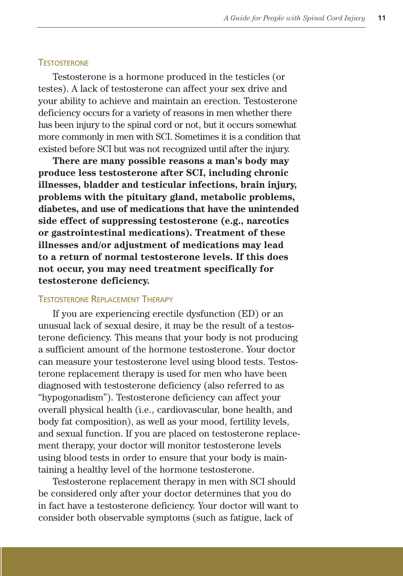#### **TESTOSTERONE**

Testosterone is a hormone produced in the testicles (or testes). A lack of testosterone can affect your sex drive and your ability to achieve and maintain an erection. Testosterone deficiency occurs for a variety of reasons in men whether there has been injury to the spinal cord or not, but it occurs somewhat more commonly in men with SCI. Sometimes it is a condition that existed before SCI but was not recognized until after the injury.

**There are many possible reasons a man's body may produce less testosterone after SCI, including chronic illnesses, bladder and testicular infections, brain injury, problems with the pituitary gland, metabolic problems, diabetes, and use of medications that have the unintended side effect of suppressing testosterone (e.g., narcotics or gastrointestinal medications). Treatment of these illnesses and/or adjustment of medications may lead to a return of normal testosterone levels. If this does not occur, you may need treatment specifically for testosterone deficiency.**

#### TESTOSTERONE REPLACEMENT THERAPY

If you are experiencing erectile dysfunction (ED) or an unusual lack of sexual desire, it may be the result of a testosterone deficiency. This means that your body is not producing a sufficient amount of the hormone testosterone. Your doctor can measure your testosterone level using blood tests. Testosterone replacement therapy is used for men who have been diagnosed with testosterone deficiency (also referred to as "hypogonadism"). Testosterone deficiency can affect your overall physical health (i.e., cardiovascular, bone health, and body fat composition), as well as your mood, fertility levels, and sexual function. If you are placed on testosterone replacement therapy, your doctor will monitor testosterone levels using blood tests in order to ensure that your body is maintaining a healthy level of the hormone testosterone.

Testosterone replacement therapy in men with SCI should be considered only after your doctor determines that you do in fact have a testosterone deficiency. Your doctor will want to consider both observable symptoms (such as fatigue, lack of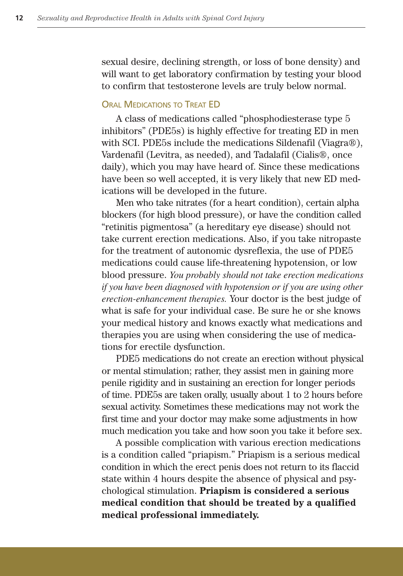sexual desire, declining strength, or loss of bone density) and will want to get laboratory confirmation by testing your blood to confirm that testosterone levels are truly below normal.

#### **ORAL MEDICATIONS TO TREAT ED**

A class of medications called "phosphodiesterase type 5 inhibitors" (PDE5s) is highly effective for treating ED in men with SCI. PDE5s include the medications Sildenafil (Viagra®), Vardenafil (Levitra, as needed), and Tadalafil (Cialis®, once daily), which you may have heard of. Since these medications have been so well accepted, it is very likely that new ED medications will be developed in the future.

Men who take nitrates (for a heart condition), certain alpha blockers (for high blood pressure), or have the condition called "retinitis pigmentosa" (a hereditary eye disease) should not take current erection medications. Also, if you take nitropaste for the treatment of autonomic dysreflexia, the use of PDE5 medications could cause life-threatening hypotension, or low blood pressure. *You probably should not take erection medications if you have been diagnosed with hypotension or if you are using other erection-enhancement therapies.* Your doctor is the best judge of what is safe for your individual case. Be sure he or she knows your medical history and knows exactly what medications and therapies you are using when considering the use of medications for erectile dysfunction.

PDE5 medications do not create an erection without physical or mental stimulation; rather, they assist men in gaining more penile rigidity and in sustaining an erection for longer periods of time. PDE5s are taken orally, usually about 1 to 2 hours before sexual activity. Sometimes these medications may not work the first time and your doctor may make some adjustments in how much medication you take and how soon you take it before sex.

A possible complication with various erection medications is a condition called "priapism." Priapism is a serious medical condition in which the erect penis does not return to its flaccid state within 4 hours despite the absence of physical and psychological stimulation. **Priapism is considered a serious medical condition that should be treated by a qualified medical professional immediately.**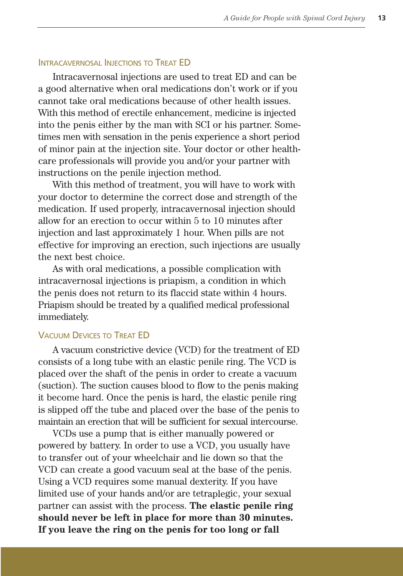#### INTRACAVERNOSAL INJECTIONS TO TREAT ED

Intracavernosal injections are used to treat ED and can be a good alternative when oral medications don't work or if you cannot take oral medications because of other health issues. With this method of erectile enhancement, medicine is injected into the penis either by the man with SCI or his partner. Sometimes men with sensation in the penis experience a short period of minor pain at the injection site. Your doctor or other healthcare professionals will provide you and/or your partner with instructions on the penile injection method.

With this method of treatment, you will have to work with your doctor to determine the correct dose and strength of the medication. If used properly, intracavernosal injection should allow for an erection to occur within 5 to 10 minutes after injection and last approximately 1 hour. When pills are not effective for improving an erection, such injections are usually the next best choice.

As with oral medications, a possible complication with intracavernosal injections is priapism, a condition in which the penis does not return to its flaccid state within 4 hours. Priapism should be treated by a qualified medical professional immediately.

#### VACUUM DEVICES TO TREAT ED

A vacuum constrictive device (VCD) for the treatment of ED consists of a long tube with an elastic penile ring. The VCD is placed over the shaft of the penis in order to create a vacuum (suction). The suction causes blood to flow to the penis making it become hard. Once the penis is hard, the elastic penile ring is slipped off the tube and placed over the base of the penis to maintain an erection that will be sufficient for sexual intercourse.

VCDs use a pump that is either manually powered or powered by battery. In order to use a VCD, you usually have to transfer out of your wheelchair and lie down so that the VCD can create a good vacuum seal at the base of the penis. Using a VCD requires some manual dexterity. If you have limited use of your hands and/or are tetraplegic, your sexual partner can assist with the process. **The elastic penile ring should never be left in place for more than 30 minutes. If you leave the ring on the penis for too long or fall**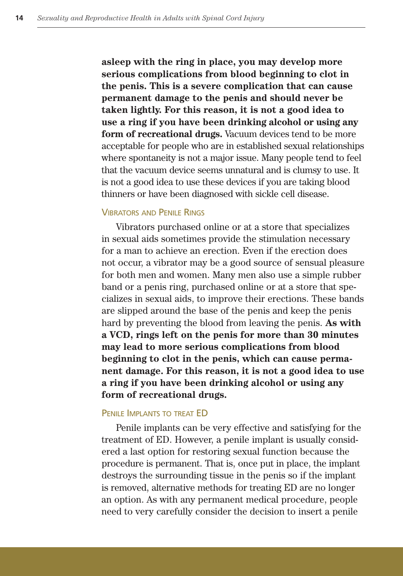**asleep with the ring in place, you may develop more serious complications from blood beginning to clot in the penis. This is a severe complication that can cause permanent damage to the penis and should never be taken lightly. For this reason, it is not a good idea to use a ring if you have been drinking alcohol or using any form of recreational drugs.** Vacuum devices tend to be more acceptable for people who are in established sexual relationships where spontaneity is not a major issue. Many people tend to feel that the vacuum device seems unnatural and is clumsy to use. It is not a good idea to use these devices if you are taking blood thinners or have been diagnosed with sickle cell disease.

#### VIBRATORS AND PENILE RINGS

Vibrators purchased online or at a store that specializes in sexual aids sometimes provide the stimulation necessary for a man to achieve an erection. Even if the erection does not occur, a vibrator may be a good source of sensual pleasure for both men and women. Many men also use a simple rubber band or a penis ring, purchased online or at a store that specializes in sexual aids, to improve their erections. These bands are slipped around the base of the penis and keep the penis hard by preventing the blood from leaving the penis. **As with a VCD, rings left on the penis for more than 30 minutes may lead to more serious complications from blood beginning to clot in the penis, which can cause permanent damage. For this reason, it is not a good idea to use a ring if you have been drinking alcohol or using any form of recreational drugs.**

#### PENILE IMPLANTS TO TREAT ED

Penile implants can be very effective and satisfying for the treatment of ED. However, a penile implant is usually considered a last option for restoring sexual function because the procedure is permanent. That is, once put in place, the implant destroys the surrounding tissue in the penis so if the implant is removed, alternative methods for treating ED are no longer an option. As with any permanent medical procedure, people need to very carefully consider the decision to insert a penile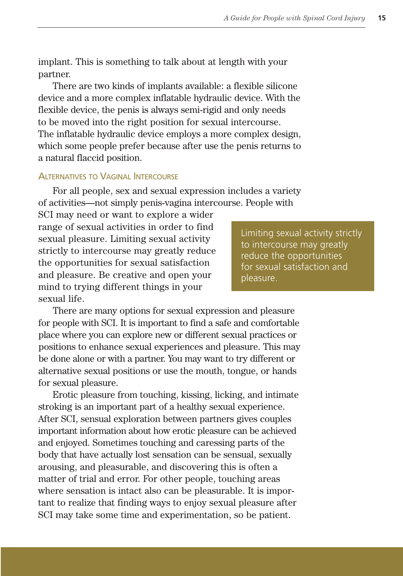implant. This is something to talk about at length with your partner.

There are two kinds of implants available: a flexible silicone device and a more complex inflatable hydraulic device. With the flexible device, the penis is always semi-rigid and only needs to be moved into the right position for sexual intercourse. The inflatable hydraulic device employs a more complex design, which some people prefer because after use the penis returns to a natural flaccid position.

#### ALTERNATIVES TO VAGINAL INTERCOURSE

For all people, sex and sexual expression includes a variety of activities—not simply penis-vagina intercourse. People with

SCI may need or want to explore a wider range of sexual activities in order to find sexual pleasure. Limiting sexual activity strictly to intercourse may greatly reduce the opportunities for sexual satisfaction and pleasure. Be creative and open your mind to trying different things in your sexual life.

Limiting sexual activity strictly to intercourse may greatly reduce the opportunities for sexual satisfaction and pleasure.

There are many options for sexual expression and pleasure for people with SCI. It is important to find a safe and comfortable place where you can explore new or different sexual practices or positions to enhance sexual experiences and pleasure. This may be done alone or with a partner. You may want to try different or alternative sexual positions or use the mouth, tongue, or hands for sexual pleasure.

Erotic pleasure from touching, kissing, licking, and intimate stroking is an important part of a healthy sexual experience. After SCI, sensual exploration between partners gives couples important information about how erotic pleasure can be achieved and enjoyed. Sometimes touching and caressing parts of the body that have actually lost sensation can be sensual, sexually arousing, and pleasurable, and discovering this is often a matter of trial and error. For other people, touching areas where sensation is intact also can be pleasurable. It is important to realize that finding ways to enjoy sexual pleasure after SCI may take some time and experimentation, so be patient.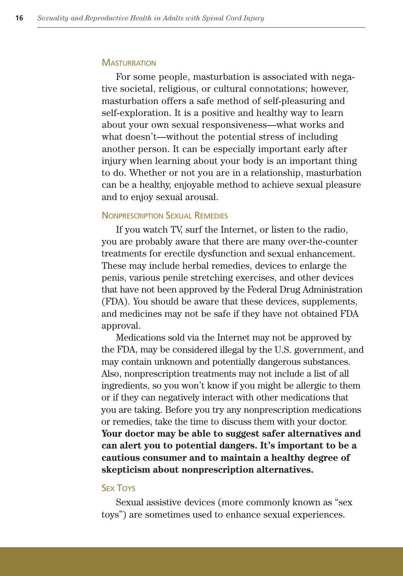#### **MASTURBATION**

For some people, masturbation is associated with negative societal, religious, or cultural connotations; however, masturbation offers a safe method of self-pleasuring and self-exploration. It is a positive and healthy way to learn about your own sexual responsiveness—what works and what doesn't—without the potential stress of including another person. It can be especially important early after injury when learning about your body is an important thing to do. Whether or not you are in a relationship, masturbation can be a healthy, enjoyable method to achieve sexual pleasure and to enjoy sexual arousal.

#### NONPRESCRIPTION SEXUAL REMEDIES

If you watch TV, surf the Internet, or listen to the radio, you are probably aware that there are many over-the-counter treatments for erectile dysfunction and sexual enhancement. These may include herbal remedies, devices to enlarge the penis, various penile stretching exercises, and other devices that have not been approved by the Federal Drug Administration (FDA). You should be aware that these devices, supplements, and medicines may not be safe if they have not obtained FDA approval.

Medications sold via the Internet may not be approved by the FDA, may be considered illegal by the U.S. government, and may contain unknown and potentially dangerous substances. Also, nonprescription treatments may not include a list of all ingredients, so you won't know if you might be allergic to them or if they can negatively interact with other medications that you are taking. Before you try any nonprescription medications or remedies, take the time to discuss them with your doctor. **Your doctor may be able to suggest safer alternatives and can alert you to potential dangers. It's important to be a cautious consumer and to maintain a healthy degree of skepticism about nonprescription alternatives.**

#### **SEX TOYS**

Sexual assistive devices (more commonly known as "sex toys") are sometimes used to enhance sexual experiences.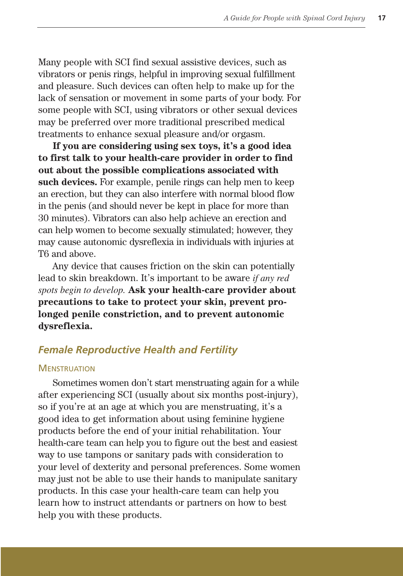Many people with SCI find sexual assistive devices, such as vibrators or penis rings, helpful in improving sexual fulfillment and pleasure. Such devices can often help to make up for the lack of sensation or movement in some parts of your body. For some people with SCI, using vibrators or other sexual devices may be preferred over more traditional prescribed medical treatments to enhance sexual pleasure and/or orgasm.

**If you are considering using sex toys, it's a good idea to first talk to your health-care provider in order to find out about the possible complications associated with such devices.** For example, penile rings can help men to keep an erection, but they can also interfere with normal blood flow in the penis (and should never be kept in place for more than 30 minutes). Vibrators can also help achieve an erection and can help women to become sexually stimulated; however, they may cause autonomic dysreflexia in individuals with injuries at T6 and above.

Any device that causes friction on the skin can potentially lead to skin breakdown. It's important to be aware *if any red spots begin to develop.* **Ask your health-care provider about precautions to take to protect your skin, prevent prolonged penile constriction, and to prevent autonomic dysreflexia.**

## *Female Reproductive Health and Fertility*

#### **MENSTRUATION**

Sometimes women don't start menstruating again for a while after experiencing SCI (usually about six months post-injury), so if you're at an age at which you are menstruating, it's a good idea to get information about using feminine hygiene products before the end of your initial rehabilitation. Your health-care team can help you to figure out the best and easiest way to use tampons or sanitary pads with consideration to your level of dexterity and personal preferences. Some women may just not be able to use their hands to manipulate sanitary products. In this case your health-care team can help you learn how to instruct attendants or partners on how to best help you with these products.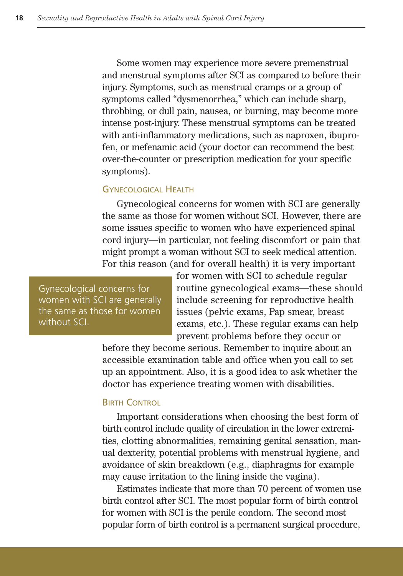Some women may experience more severe premenstrual and menstrual symptoms after SCI as compared to before their injury. Symptoms, such as menstrual cramps or a group of symptoms called "dysmenorrhea," which can include sharp, throbbing, or dull pain, nausea, or burning, may become more intense post-injury. These menstrual symptoms can be treated with anti-inflammatory medications, such as naproxen, ibuprofen, or mefenamic acid (your doctor can recommend the best over-the-counter or prescription medication for your specific symptoms).

#### GYNECOLOGICAL HEALTH

Gynecological concerns for women with SCI are generally the same as those for women without SCI. However, there are some issues specific to women who have experienced spinal cord injury—in particular, not feeling discomfort or pain that might prompt a woman without SCI to seek medical attention. For this reason (and for overall health) it is very important

Gynecological concerns for women with SCI are generally the same as those for women without SCI.

for women with SCI to schedule regular routine gynecological exams—these should include screening for reproductive health issues (pelvic exams, Pap smear, breast exams, etc.). These regular exams can help prevent problems before they occur or

before they become serious. Remember to inquire about an accessible examination table and office when you call to set up an appointment. Also, it is a good idea to ask whether the doctor has experience treating women with disabilities.

#### BIRTH CONTROL

Important considerations when choosing the best form of birth control include quality of circulation in the lower extremities, clotting abnormalities, remaining genital sensation, manual dexterity, potential problems with menstrual hygiene, and avoidance of skin breakdown (e.g., diaphragms for example may cause irritation to the lining inside the vagina).

Estimates indicate that more than 70 percent of women use birth control after SCI. The most popular form of birth control for women with SCI is the penile condom. The second most popular form of birth control is a permanent surgical procedure,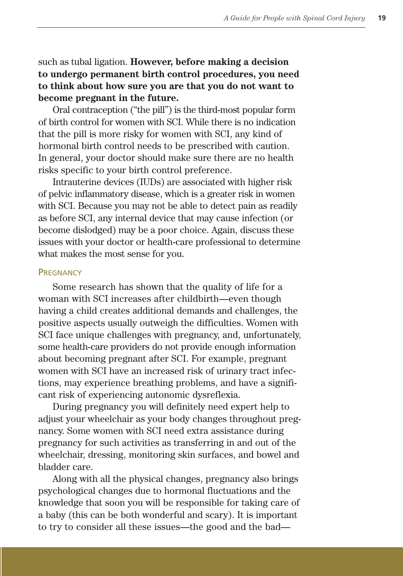such as tubal ligation. **However, before making a decision to undergo permanent birth control procedures, you need to think about how sure you are that you do not want to become pregnant in the future.**

Oral contraception ("the pill") is the third-most popular form of birth control for women with SCI. While there is no indication that the pill is more risky for women with SCI, any kind of hormonal birth control needs to be prescribed with caution. In general, your doctor should make sure there are no health risks specific to your birth control preference.

Intrauterine devices (IUDs) are associated with higher risk of pelvic inflammatory disease, which is a greater risk in women with SCI. Because you may not be able to detect pain as readily as before SCI, any internal device that may cause infection (or become dislodged) may be a poor choice. Again, discuss these issues with your doctor or health-care professional to determine what makes the most sense for you.

#### **PREGNANCY**

Some research has shown that the quality of life for a woman with SCI increases after childbirth—even though having a child creates additional demands and challenges, the positive aspects usually outweigh the difficulties. Women with SCI face unique challenges with pregnancy, and, unfortunately, some health-care providers do not provide enough information about becoming pregnant after SCI. For example, pregnant women with SCI have an increased risk of urinary tract infections, may experience breathing problems, and have a significant risk of experiencing autonomic dysreflexia.

During pregnancy you will definitely need expert help to adjust your wheelchair as your body changes throughout pregnancy. Some women with SCI need extra assistance during pregnancy for such activities as transferring in and out of the wheelchair, dressing, monitoring skin surfaces, and bowel and bladder care.

Along with all the physical changes, pregnancy also brings psychological changes due to hormonal fluctuations and the knowledge that soon you will be responsible for taking care of a baby (this can be both wonderful and scary). It is important to try to consider all these issues—the good and the bad—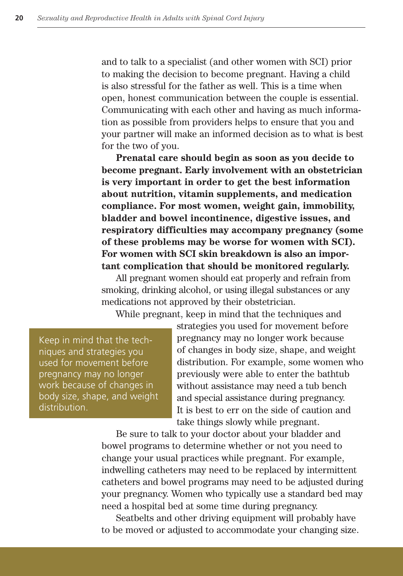and to talk to a specialist (and other women with SCI) prior to making the decision to become pregnant. Having a child is also stressful for the father as well. This is a time when open, honest communication between the couple is essential. Communicating with each other and having as much information as possible from providers helps to ensure that you and your partner will make an informed decision as to what is best for the two of you.

**Prenatal care should begin as soon as you decide to become pregnant. Early involvement with an obstetrician is very important in order to get the best information about nutrition, vitamin supplements, and medication compliance. For most women, weight gain, immobility, bladder and bowel incontinence, digestive issues, and respiratory difficulties may accompany pregnancy (some of these problems may be worse for women with SCI). For women with SCI skin breakdown is also an important complication that should be monitored regularly.**

All pregnant women should eat properly and refrain from smoking, drinking alcohol, or using illegal substances or any medications not approved by their obstetrician.

While pregnant, keep in mind that the techniques and

Keep in mind that the techniques and strategies you used for movement before pregnancy may no longer work because of changes in body size, shape, and weight distribution.

strategies you used for movement before pregnancy may no longer work because of changes in body size, shape, and weight distribution. For example, some women who previously were able to enter the bathtub without assistance may need a tub bench and special assistance during pregnancy. It is best to err on the side of caution and take things slowly while pregnant.

Be sure to talk to your doctor about your bladder and bowel programs to determine whether or not you need to change your usual practices while pregnant. For example, indwelling catheters may need to be replaced by intermittent catheters and bowel programs may need to be adjusted during your pregnancy. Women who typically use a standard bed may need a hospital bed at some time during pregnancy.

Seatbelts and other driving equipment will probably have to be moved or adjusted to accommodate your changing size.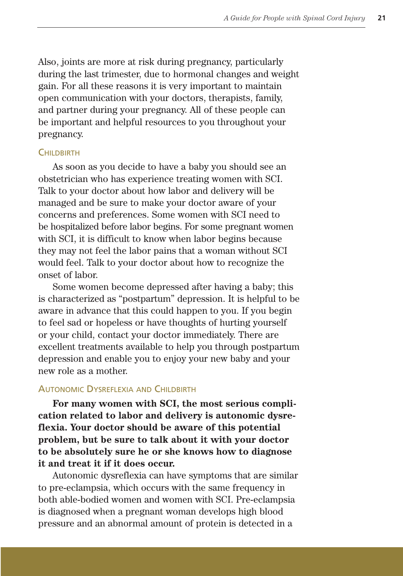Also, joints are more at risk during pregnancy, particularly during the last trimester, due to hormonal changes and weight gain. For all these reasons it is very important to maintain open communication with your doctors, therapists, family, and partner during your pregnancy. All of these people can be important and helpful resources to you throughout your pregnancy.

#### **CHILDBIRTH**

As soon as you decide to have a baby you should see an obstetrician who has experience treating women with SCI. Talk to your doctor about how labor and delivery will be managed and be sure to make your doctor aware of your concerns and preferences. Some women with SCI need to be hospitalized before labor begins. For some pregnant women with SCI, it is difficult to know when labor begins because they may not feel the labor pains that a woman without SCI would feel. Talk to your doctor about how to recognize the onset of labor.

Some women become depressed after having a baby; this is characterized as "postpartum" depression. It is helpful to be aware in advance that this could happen to you. If you begin to feel sad or hopeless or have thoughts of hurting yourself or your child, contact your doctor immediately. There are excellent treatments available to help you through postpartum depression and enable you to enjoy your new baby and your new role as a mother.

#### AUTONOMIC DYSREFLEXIA AND CHILDBIRTH

**For many women with SCI, the most serious complication related to labor and delivery is autonomic dysreflexia. Your doctor should be aware of this potential problem, but be sure to talk about it with your doctor to be absolutely sure he or she knows how to diagnose it and treat it if it does occur.**

Autonomic dysreflexia can have symptoms that are similar to pre-eclampsia, which occurs with the same frequency in both able-bodied women and women with SCI. Pre-eclampsia is diagnosed when a pregnant woman develops high blood pressure and an abnormal amount of protein is detected in a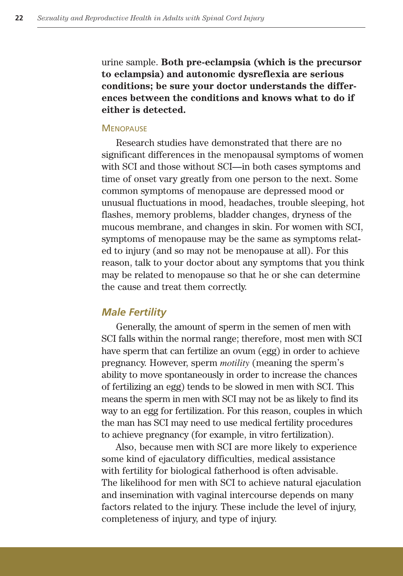urine sample. **Both pre-eclampsia (which is the precursor to eclampsia) and autonomic dysreflexia are serious conditions; be sure your doctor understands the differences between the conditions and knows what to do if either is detected.**

#### **MENOPAUSE**

Research studies have demonstrated that there are no significant differences in the menopausal symptoms of women with SCI and those without SCI—in both cases symptoms and time of onset vary greatly from one person to the next. Some common symptoms of menopause are depressed mood or unusual fluctuations in mood, headaches, trouble sleeping, hot flashes, memory problems, bladder changes, dryness of the mucous membrane, and changes in skin. For women with SCI, symptoms of menopause may be the same as symptoms related to injury (and so may not be menopause at all). For this reason, talk to your doctor about any symptoms that you think may be related to menopause so that he or she can determine the cause and treat them correctly.

#### *Male Fertility*

Generally, the amount of sperm in the semen of men with SCI falls within the normal range; therefore, most men with SCI have sperm that can fertilize an ovum (egg) in order to achieve pregnancy. However, sperm *motility* (meaning the sperm's ability to move spontaneously in order to increase the chances of fertilizing an egg) tends to be slowed in men with SCI. This means the sperm in men with SCI may not be as likely to find its way to an egg for fertilization. For this reason, couples in which the man has SCI may need to use medical fertility procedures to achieve pregnancy (for example, in vitro fertilization).

Also, because men with SCI are more likely to experience some kind of ejaculatory difficulties, medical assistance with fertility for biological fatherhood is often advisable. The likelihood for men with SCI to achieve natural ejaculation and insemination with vaginal intercourse depends on many factors related to the injury. These include the level of injury, completeness of injury, and type of injury.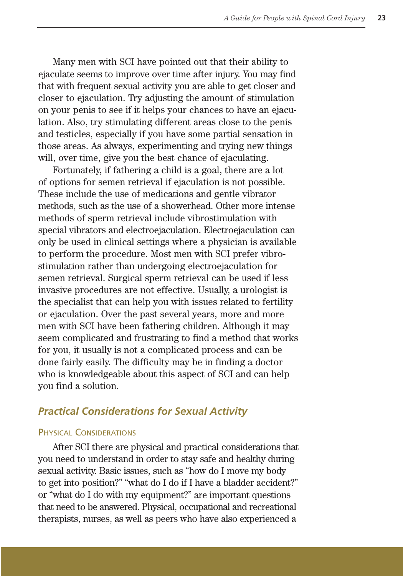Many men with SCI have pointed out that their ability to ejaculate seems to improve over time after injury. You may find that with frequent sexual activity you are able to get closer and closer to ejaculation. Try adjusting the amount of stimulation on your penis to see if it helps your chances to have an ejaculation. Also, try stimulating different areas close to the penis and testicles, especially if you have some partial sensation in those areas. As always, experimenting and trying new things will, over time, give you the best chance of ejaculating.

Fortunately, if fathering a child is a goal, there are a lot of options for semen retrieval if ejaculation is not possible. These include the use of medications and gentle vibrator methods, such as the use of a showerhead. Other more intense methods of sperm retrieval include vibrostimulation with special vibrators and electroejaculation. Electroejaculation can only be used in clinical settings where a physician is available to perform the procedure. Most men with SCI prefer vibrostimulation rather than undergoing electroejaculation for semen retrieval. Surgical sperm retrieval can be used if less invasive procedures are not effective. Usually, a urologist is the specialist that can help you with issues related to fertility or ejaculation. Over the past several years, more and more men with SCI have been fathering children. Although it may seem complicated and frustrating to find a method that works for you, it usually is not a complicated process and can be done fairly easily. The difficulty may be in finding a doctor who is knowledgeable about this aspect of SCI and can help you find a solution.

## *Practical Considerations for Sexual Activity*

#### PHYSICAL CONSIDERATIONS

After SCI there are physical and practical considerations that you need to understand in order to stay safe and healthy during sexual activity. Basic issues, such as "how do I move my body to get into position?" "what do I do if I have a bladder accident?" or "what do I do with my equipment?" are important questions that need to be answered. Physical, occupational and recreational therapists, nurses, as well as peers who have also experienced a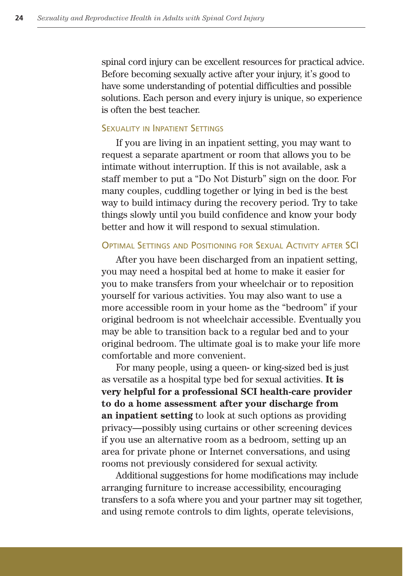spinal cord injury can be excellent resources for practical advice. Before becoming sexually active after your injury, it's good to have some understanding of potential difficulties and possible solutions. Each person and every injury is unique, so experience is often the best teacher.

#### SEXUALITY IN INPATIENT SETTINGS

If you are living in an inpatient setting, you may want to request a separate apartment or room that allows you to be intimate without interruption. If this is not available, ask a staff member to put a "Do Not Disturb" sign on the door. For many couples, cuddling together or lying in bed is the best way to build intimacy during the recovery period. Try to take things slowly until you build confidence and know your body better and how it will respond to sexual stimulation.

#### OPTIMAL SETTINGS AND POSITIONING FOR SEXUAL ACTIVITY AFTER SCI

After you have been discharged from an inpatient setting, you may need a hospital bed at home to make it easier for you to make transfers from your wheelchair or to reposition yourself for various activities. You may also want to use a more accessible room in your home as the "bedroom" if your original bedroom is not wheelchair accessible. Eventually you may be able to transition back to a regular bed and to your original bedroom. The ultimate goal is to make your life more comfortable and more convenient.

For many people, using a queen- or king-sized bed is just as versatile as a hospital type bed for sexual activities. **It is very helpful for a professional SCI health-care provider to do a home assessment after your discharge from an inpatient setting** to look at such options as providing privacy—possibly using curtains or other screening devices if you use an alternative room as a bedroom, setting up an area for private phone or Internet conversations, and using rooms not previously considered for sexual activity.

Additional suggestions for home modifications may include arranging furniture to increase accessibility, encouraging transfers to a sofa where you and your partner may sit together, and using remote controls to dim lights, operate televisions,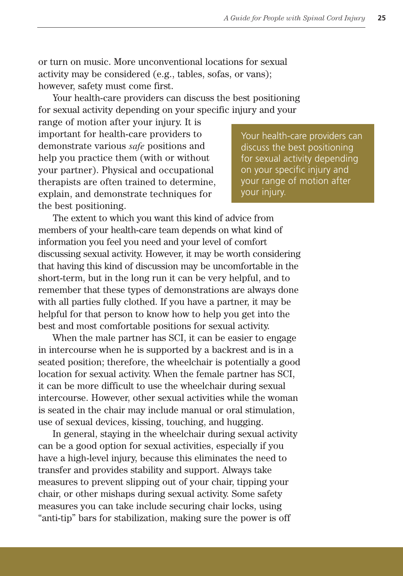or turn on music. More unconventional locations for sexual activity may be considered (e.g., tables, sofas, or vans); however, safety must come first.

Your health-care providers can discuss the best positioning for sexual activity depending on your specific injury and your

range of motion after your injury. It is important for health-care providers to demonstrate various *safe* positions and help you practice them (with or without your partner). Physical and occupational therapists are often trained to determine, explain, and demonstrate techniques for the best positioning.

Your health-care providers can discuss the best positioning for sexual activity depending on your specific injury and your range of motion after your injury.

The extent to which you want this kind of advice from members of your health-care team depends on what kind of information you feel you need and your level of comfort discussing sexual activity. However, it may be worth considering that having this kind of discussion may be uncomfortable in the short-term, but in the long run it can be very helpful, and to remember that these types of demonstrations are always done with all parties fully clothed. If you have a partner, it may be helpful for that person to know how to help you get into the best and most comfortable positions for sexual activity.

When the male partner has SCI, it can be easier to engage in intercourse when he is supported by a backrest and is in a seated position; therefore, the wheelchair is potentially a good location for sexual activity. When the female partner has SCI, it can be more difficult to use the wheelchair during sexual intercourse. However, other sexual activities while the woman is seated in the chair may include manual or oral stimulation, use of sexual devices, kissing, touching, and hugging.

In general, staying in the wheelchair during sexual activity can be a good option for sexual activities, especially if you have a high-level injury, because this eliminates the need to transfer and provides stability and support. Always take measures to prevent slipping out of your chair, tipping your chair, or other mishaps during sexual activity. Some safety measures you can take include securing chair locks, using "anti-tip" bars for stabilization, making sure the power is off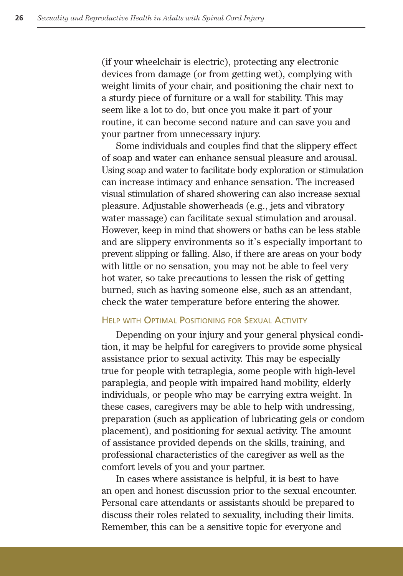(if your wheelchair is electric), protecting any electronic devices from damage (or from getting wet), complying with weight limits of your chair, and positioning the chair next to a sturdy piece of furniture or a wall for stability. This may seem like a lot to do, but once you make it part of your routine, it can become second nature and can save you and your partner from unnecessary injury.

Some individuals and couples find that the slippery effect of soap and water can enhance sensual pleasure and arousal. Using soap and water to facilitate body exploration or stimulation can increase intimacy and enhance sensation. The increased visual stimulation of shared showering can also increase sexual pleasure. Adjustable showerheads (e.g., jets and vibratory water massage) can facilitate sexual stimulation and arousal. However, keep in mind that showers or baths can be less stable and are slippery environments so it's especially important to prevent slipping or falling. Also, if there are areas on your body with little or no sensation, you may not be able to feel very hot water, so take precautions to lessen the risk of getting burned, such as having someone else, such as an attendant, check the water temperature before entering the shower.

#### HELP WITH OPTIMAL POSITIONING FOR SEXUAL ACTIVITY

Depending on your injury and your general physical condition, it may be helpful for caregivers to provide some physical assistance prior to sexual activity. This may be especially true for people with tetraplegia, some people with high-level paraplegia, and people with impaired hand mobility, elderly individuals, or people who may be carrying extra weight. In these cases, caregivers may be able to help with undressing, preparation (such as application of lubricating gels or condom placement), and positioning for sexual activity. The amount of assistance provided depends on the skills, training, and professional characteristics of the caregiver as well as the comfort levels of you and your partner.

In cases where assistance is helpful, it is best to have an open and honest discussion prior to the sexual encounter. Personal care attendants or assistants should be prepared to discuss their roles related to sexuality, including their limits. Remember, this can be a sensitive topic for everyone and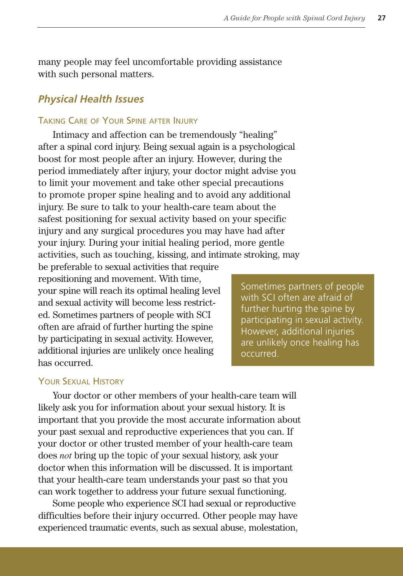many people may feel uncomfortable providing assistance with such personal matters.

## *Physical Health Issues*

### TAKING CARE OF YOUR SPINE AFTER INJURY

Intimacy and affection can be tremendously "healing" after a spinal cord injury. Being sexual again is a psychological boost for most people after an injury. However, during the period immediately after injury, your doctor might advise you to limit your movement and take other special precautions to promote proper spine healing and to avoid any additional injury. Be sure to talk to your health-care team about the safest positioning for sexual activity based on your specific injury and any surgical procedures you may have had after your injury. During your initial healing period, more gentle activities, such as touching, kissing, and intimate stroking, may

be preferable to sexual activities that require repositioning and movement. With time, your spine will reach its optimal healing level and sexual activity will become less restricted. Sometimes partners of people with SCI often are afraid of further hurting the spine by participating in sexual activity. However, additional injuries are unlikely once healing has occurred.

Sometimes partners of people with SCI often are afraid of further hurting the spine by participating in sexual activity. However, additional injuries are unlikely once healing has occurred.

### YOUR SEXUAL HISTORY

Your doctor or other members of your health-care team will likely ask you for information about your sexual history. It is important that you provide the most accurate information about your past sexual and reproductive experiences that you can. If your doctor or other trusted member of your health-care team does *not* bring up the topic of your sexual history, ask your doctor when this information will be discussed. It is important that your health-care team understands your past so that you can work together to address your future sexual functioning.

Some people who experience SCI had sexual or reproductive difficulties before their injury occurred. Other people may have experienced traumatic events, such as sexual abuse, molestation,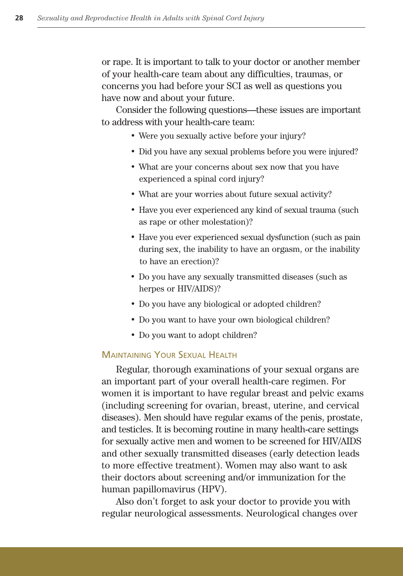or rape. It is important to talk to your doctor or another member of your health-care team about any difficulties, traumas, or concerns you had before your SCI as well as questions you have now and about your future.

Consider the following questions—these issues are important to address with your health-care team:

- Were you sexually active before your injury?
- Did you have any sexual problems before you were injured?
- What are your concerns about sex now that you have experienced a spinal cord injury?
- What are your worries about future sexual activity?
- Have you ever experienced any kind of sexual trauma (such as rape or other molestation)?
- Have you ever experienced sexual dysfunction (such as pain during sex, the inability to have an orgasm, or the inability to have an erection)?
- Do you have any sexually transmitted diseases (such as herpes or HIV/AIDS)?
- Do you have any biological or adopted children?
- Do you want to have your own biological children?
- Do you want to adopt children?

#### MAINTAINING YOUR SEXUAL HEALTH

Regular, thorough examinations of your sexual organs are an important part of your overall health-care regimen. For women it is important to have regular breast and pelvic exams (including screening for ovarian, breast, uterine, and cervical diseases). Men should have regular exams of the penis, prostate, and testicles. It is becoming routine in many health-care settings for sexually active men and women to be screened for HIV/AIDS and other sexually transmitted diseases (early detection leads to more effective treatment). Women may also want to ask their doctors about screening and/or immunization for the human papillomavirus (HPV).

Also don't forget to ask your doctor to provide you with regular neurological assessments. Neurological changes over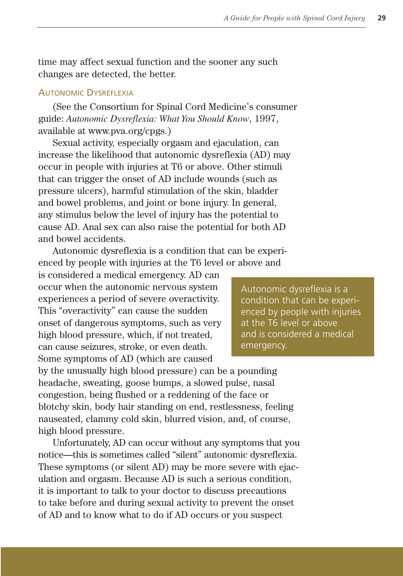time may affect sexual function and the sooner any such changes are detected, the better.

#### AUTONOMIC DYSREFLEXIA

(See the Consortium for Spinal Cord Medicine's consumer guide: *Autonomic Dysreflexia: What You Should Know*, 1997, available at www.pva.org/cpgs.)

Sexual activity, especially orgasm and ejaculation, can increase the likelihood that autonomic dysreflexia (AD) may occur in people with injuries at T6 or above. Other stimuli that can trigger the onset of AD include wounds (such as pressure ulcers), harmful stimulation of the skin, bladder and bowel problems, and joint or bone injury. In general, any stimulus below the level of injury has the potential to cause AD. Anal sex can also raise the potential for both AD and bowel accidents.

Autonomic dysreflexia is a condition that can be experienced by people with injuries at the T6 level or above and

is considered a medical emergency. AD can occur when the autonomic nervous system experiences a period of severe overactivity. This "overactivity" can cause the sudden onset of dangerous symptoms, such as very high blood pressure, which, if not treated, can cause seizures, stroke, or even death. Some symptoms of AD (which are caused

Autonomic dysreflexia is a condition that can be experienced by people with injuries at the T6 level or above and is considered a medical emergency.

by the unusually high blood pressure) can be a pounding headache, sweating, goose bumps, a slowed pulse, nasal congestion, being flushed or a reddening of the face or blotchy skin, body hair standing on end, restlessness, feeling nauseated, clammy cold skin, blurred vision, and, of course, high blood pressure.

Unfortunately, AD can occur without any symptoms that you notice—this is sometimes called "silent" autonomic dysreflexia. These symptoms (or silent AD) may be more severe with ejaculation and orgasm. Because AD is such a serious condition, it is important to talk to your doctor to discuss precautions to take before and during sexual activity to prevent the onset of AD and to know what to do if AD occurs or you suspect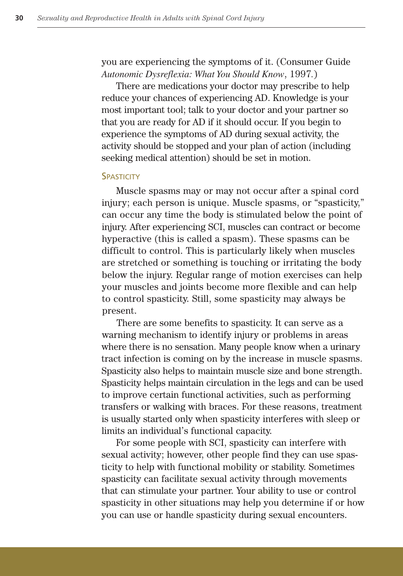you are experiencing the symptoms of it. (Consumer Guide *Autonomic Dysreflexia: What You Should Know*, 1997*.*)

There are medications your doctor may prescribe to help reduce your chances of experiencing AD. Knowledge is your most important tool; talk to your doctor and your partner so that you are ready for AD if it should occur. If you begin to experience the symptoms of AD during sexual activity, the activity should be stopped and your plan of action (including seeking medical attention) should be set in motion.

#### **SPASTICITY**

Muscle spasms may or may not occur after a spinal cord injury; each person is unique. Muscle spasms, or "spasticity," can occur any time the body is stimulated below the point of injury. After experiencing SCI, muscles can contract or become hyperactive (this is called a spasm). These spasms can be difficult to control. This is particularly likely when muscles are stretched or something is touching or irritating the body below the injury. Regular range of motion exercises can help your muscles and joints become more flexible and can help to control spasticity. Still, some spasticity may always be present.

There are some benefits to spasticity. It can serve as a warning mechanism to identify injury or problems in areas where there is no sensation. Many people know when a urinary tract infection is coming on by the increase in muscle spasms. Spasticity also helps to maintain muscle size and bone strength. Spasticity helps maintain circulation in the legs and can be used to improve certain functional activities, such as performing transfers or walking with braces. For these reasons, treatment is usually started only when spasticity interferes with sleep or limits an individual's functional capacity.

For some people with SCI, spasticity can interfere with sexual activity; however, other people find they can use spasticity to help with functional mobility or stability. Sometimes spasticity can facilitate sexual activity through movements that can stimulate your partner. Your ability to use or control spasticity in other situations may help you determine if or how you can use or handle spasticity during sexual encounters.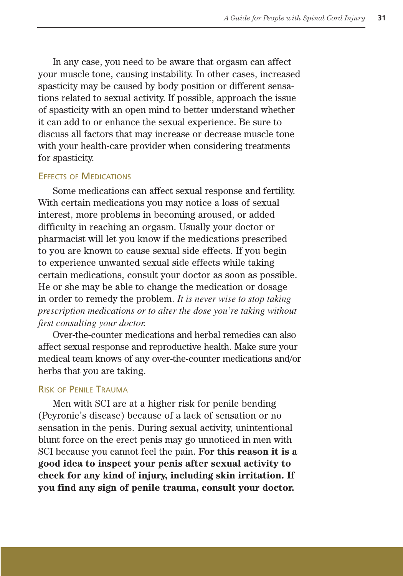In any case, you need to be aware that orgasm can affect your muscle tone, causing instability. In other cases, increased spasticity may be caused by body position or different sensations related to sexual activity. If possible, approach the issue of spasticity with an open mind to better understand whether it can add to or enhance the sexual experience. Be sure to discuss all factors that may increase or decrease muscle tone with your health-care provider when considering treatments for spasticity.

#### EFFECTS OF MEDICATIONS

Some medications can affect sexual response and fertility. With certain medications you may notice a loss of sexual interest, more problems in becoming aroused, or added difficulty in reaching an orgasm. Usually your doctor or pharmacist will let you know if the medications prescribed to you are known to cause sexual side effects. If you begin to experience unwanted sexual side effects while taking certain medications, consult your doctor as soon as possible. He or she may be able to change the medication or dosage in order to remedy the problem. *It is never wise to stop taking prescription medications or to alter the dose you're taking without first consulting your doctor.*

Over-the-counter medications and herbal remedies can also affect sexual response and reproductive health. Make sure your medical team knows of any over-the-counter medications and/or herbs that you are taking.

#### RISK OF PENILE TRAUMA

Men with SCI are at a higher risk for penile bending (Peyronie's disease) because of a lack of sensation or no sensation in the penis. During sexual activity, unintentional blunt force on the erect penis may go unnoticed in men with SCI because you cannot feel the pain. **For this reason it is a good idea to inspect your penis after sexual activity to check for any kind of injury, including skin irritation. If you find any sign of penile trauma, consult your doctor.**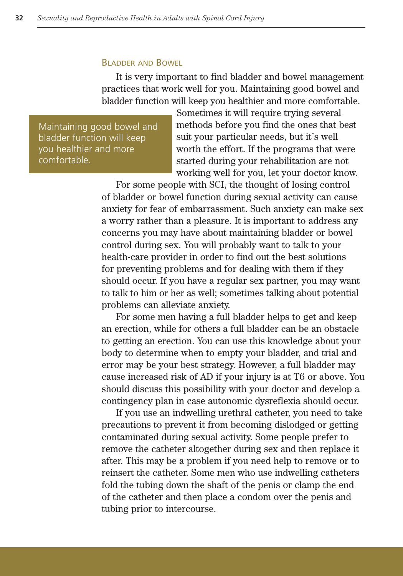#### BLADDER AND BOWEL

It is very important to find bladder and bowel management practices that work well for you. Maintaining good bowel and bladder function will keep you healthier and more comfortable.

Maintaining good bowel and bladder function will keep you healthier and more comfortable.

Sometimes it will require trying several methods before you find the ones that best suit your particular needs, but it's well worth the effort. If the programs that were started during your rehabilitation are not working well for you, let your doctor know.

For some people with SCI, the thought of losing control of bladder or bowel function during sexual activity can cause anxiety for fear of embarrassment. Such anxiety can make sex a worry rather than a pleasure. It is important to address any concerns you may have about maintaining bladder or bowel control during sex. You will probably want to talk to your health-care provider in order to find out the best solutions for preventing problems and for dealing with them if they should occur. If you have a regular sex partner, you may want to talk to him or her as well; sometimes talking about potential problems can alleviate anxiety.

For some men having a full bladder helps to get and keep an erection, while for others a full bladder can be an obstacle to getting an erection. You can use this knowledge about your body to determine when to empty your bladder, and trial and error may be your best strategy. However, a full bladder may cause increased risk of AD if your injury is at T6 or above. You should discuss this possibility with your doctor and develop a contingency plan in case autonomic dysreflexia should occur.

If you use an indwelling urethral catheter, you need to take precautions to prevent it from becoming dislodged or getting contaminated during sexual activity. Some people prefer to remove the catheter altogether during sex and then replace it after. This may be a problem if you need help to remove or to reinsert the catheter. Some men who use indwelling catheters fold the tubing down the shaft of the penis or clamp the end of the catheter and then place a condom over the penis and tubing prior to intercourse.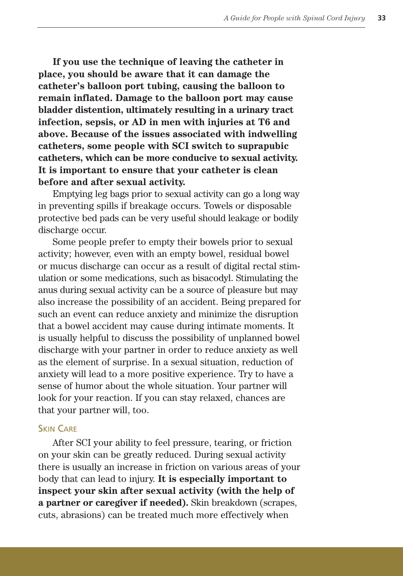**If you use the technique of leaving the catheter in place, you should be aware that it can damage the catheter's balloon port tubing, causing the balloon to remain inflated. Damage to the balloon port may cause bladder distention, ultimately resulting in a urinary tract infection, sepsis, or AD in men with injuries at T6 and above. Because of the issues associated with indwelling catheters, some people with SCI switch to suprapubic catheters, which can be more conducive to sexual activity. It is important to ensure that your catheter is clean before and after sexual activity.**

Emptying leg bags prior to sexual activity can go a long way in preventing spills if breakage occurs. Towels or disposable protective bed pads can be very useful should leakage or bodily discharge occur.

Some people prefer to empty their bowels prior to sexual activity; however, even with an empty bowel, residual bowel or mucus discharge can occur as a result of digital rectal stimulation or some medications, such as bisacodyl. Stimulating the anus during sexual activity can be a source of pleasure but may also increase the possibility of an accident. Being prepared for such an event can reduce anxiety and minimize the disruption that a bowel accident may cause during intimate moments. It is usually helpful to discuss the possibility of unplanned bowel discharge with your partner in order to reduce anxiety as well as the element of surprise. In a sexual situation, reduction of anxiety will lead to a more positive experience. Try to have a sense of humor about the whole situation. Your partner will look for your reaction. If you can stay relaxed, chances are that your partner will, too.

#### SKIN CARE

After SCI your ability to feel pressure, tearing, or friction on your skin can be greatly reduced. During sexual activity there is usually an increase in friction on various areas of your body that can lead to injury. **It is especially important to inspect your skin after sexual activity (with the help of a partner or caregiver if needed).** Skin breakdown (scrapes, cuts, abrasions) can be treated much more effectively when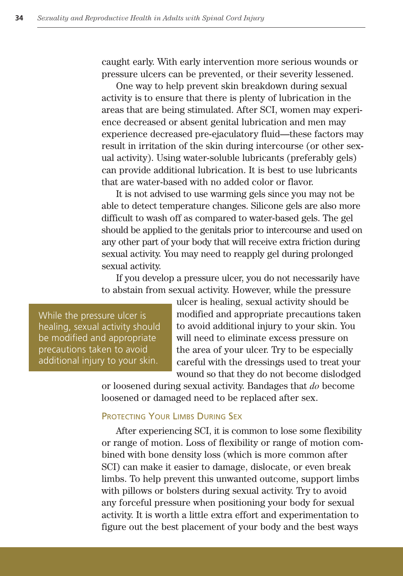caught early. With early intervention more serious wounds or pressure ulcers can be prevented, or their severity lessened.

One way to help prevent skin breakdown during sexual activity is to ensure that there is plenty of lubrication in the areas that are being stimulated. After SCI, women may experience decreased or absent genital lubrication and men may experience decreased pre-ejaculatory fluid—these factors may result in irritation of the skin during intercourse (or other sexual activity). Using water-soluble lubricants (preferably gels) can provide additional lubrication. It is best to use lubricants that are water-based with no added color or flavor.

It is not advised to use warming gels since you may not be able to detect temperature changes. Silicone gels are also more difficult to wash off as compared to water-based gels. The gel should be applied to the genitals prior to intercourse and used on any other part of your body that will receive extra friction during sexual activity. You may need to reapply gel during prolonged sexual activity.

If you develop a pressure ulcer, you do not necessarily have to abstain from sexual activity. However, while the pressure

While the pressure ulcer is healing, sexual activity should be modified and appropriate precautions taken to avoid additional injury to your skin.

ulcer is healing, sexual activity should be modified and appropriate precautions taken to avoid additional injury to your skin. You will need to eliminate excess pressure on the area of your ulcer. Try to be especially careful with the dressings used to treat your wound so that they do not become dislodged

or loosened during sexual activity. Bandages that *do* become loosened or damaged need to be replaced after sex.

#### PROTECTING YOUR LIMBS DURING SEX

After experiencing SCI, it is common to lose some flexibility or range of motion. Loss of flexibility or range of motion combined with bone density loss (which is more common after SCI) can make it easier to damage, dislocate, or even break limbs. To help prevent this unwanted outcome, support limbs with pillows or bolsters during sexual activity. Try to avoid any forceful pressure when positioning your body for sexual activity. It is worth a little extra effort and experimentation to figure out the best placement of your body and the best ways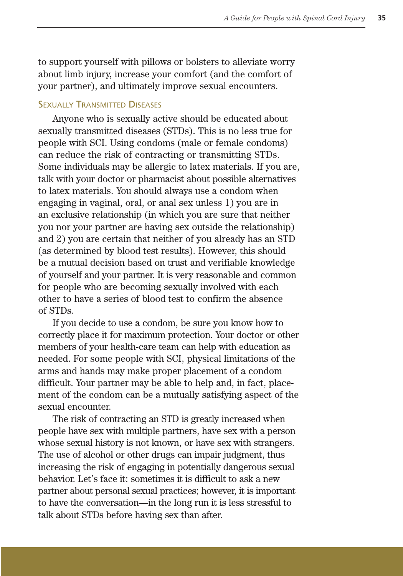to support yourself with pillows or bolsters to alleviate worry about limb injury, increase your comfort (and the comfort of your partner), and ultimately improve sexual encounters.

#### **SEXUALLY TRANSMITTED DISEASES**

Anyone who is sexually active should be educated about sexually transmitted diseases (STDs). This is no less true for people with SCI. Using condoms (male or female condoms) can reduce the risk of contracting or transmitting STDs. Some individuals may be allergic to latex materials. If you are, talk with your doctor or pharmacist about possible alternatives to latex materials. You should always use a condom when engaging in vaginal, oral, or anal sex unless 1) you are in an exclusive relationship (in which you are sure that neither you nor your partner are having sex outside the relationship) and 2) you are certain that neither of you already has an STD (as determined by blood test results). However, this should be a mutual decision based on trust and verifiable knowledge of yourself and your partner. It is very reasonable and common for people who are becoming sexually involved with each other to have a series of blood test to confirm the absence of STDs.

If you decide to use a condom, be sure you know how to correctly place it for maximum protection. Your doctor or other members of your health-care team can help with education as needed. For some people with SCI, physical limitations of the arms and hands may make proper placement of a condom difficult. Your partner may be able to help and, in fact, placement of the condom can be a mutually satisfying aspect of the sexual encounter.

The risk of contracting an STD is greatly increased when people have sex with multiple partners, have sex with a person whose sexual history is not known, or have sex with strangers. The use of alcohol or other drugs can impair judgment, thus increasing the risk of engaging in potentially dangerous sexual behavior. Let's face it: sometimes it is difficult to ask a new partner about personal sexual practices; however, it is important to have the conversation—in the long run it is less stressful to talk about STDs before having sex than after.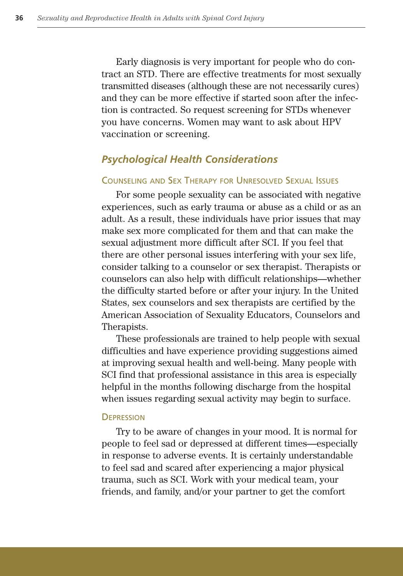Early diagnosis is very important for people who do contract an STD. There are effective treatments for most sexually transmitted diseases (although these are not necessarily cures) and they can be more effective if started soon after the infection is contracted. So request screening for STDs whenever you have concerns. Women may want to ask about HPV vaccination or screening.

#### *Psychological Health Considerations*

#### COUNSELING AND SEX THERAPY FOR UNRESOLVED SEXUAL ISSUES

For some people sexuality can be associated with negative experiences, such as early trauma or abuse as a child or as an adult. As a result, these individuals have prior issues that may make sex more complicated for them and that can make the sexual adjustment more difficult after SCI. If you feel that there are other personal issues interfering with your sex life, consider talking to a counselor or sex therapist. Therapists or counselors can also help with difficult relationships—whether the difficulty started before or after your injury. In the United States, sex counselors and sex therapists are certified by the American Association of Sexuality Educators, Counselors and Therapists.

These professionals are trained to help people with sexual difficulties and have experience providing suggestions aimed at improving sexual health and well-being. Many people with SCI find that professional assistance in this area is especially helpful in the months following discharge from the hospital when issues regarding sexual activity may begin to surface.

#### **DEPRESSION**

Try to be aware of changes in your mood. It is normal for people to feel sad or depressed at different times—especially in response to adverse events. It is certainly understandable to feel sad and scared after experiencing a major physical trauma, such as SCI. Work with your medical team, your friends, and family, and/or your partner to get the comfort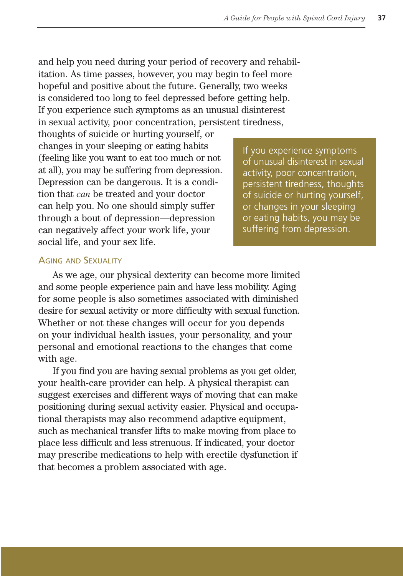and help you need during your period of recovery and rehabilitation. As time passes, however, you may begin to feel more hopeful and positive about the future. Generally, two weeks is considered too long to feel depressed before getting help. If you experience such symptoms as an unusual disinterest in sexual activity, poor concentration, persistent tiredness,

thoughts of suicide or hurting yourself, or changes in your sleeping or eating habits (feeling like you want to eat too much or not at all), you may be suffering from depression. Depression can be dangerous. It is a condition that *can* be treated and your doctor can help you. No one should simply suffer through a bout of depression—depression can negatively affect your work life, your social life, and your sex life.

If you experience symptoms of unusual disinterest in sexual activity, poor concentration, persistent tiredness, thoughts of suicide or hurting yourself, or changes in your sleeping or eating habits, you may be suffering from depression.

#### AGING AND SEXUALITY

As we age, our physical dexterity can become more limited and some people experience pain and have less mobility. Aging for some people is also sometimes associated with diminished desire for sexual activity or more difficulty with sexual function. Whether or not these changes will occur for you depends on your individual health issues, your personality, and your personal and emotional reactions to the changes that come with age.

If you find you are having sexual problems as you get older, your health-care provider can help. A physical therapist can suggest exercises and different ways of moving that can make positioning during sexual activity easier. Physical and occupational therapists may also recommend adaptive equipment, such as mechanical transfer lifts to make moving from place to place less difficult and less strenuous. If indicated, your doctor may prescribe medications to help with erectile dysfunction if that becomes a problem associated with age.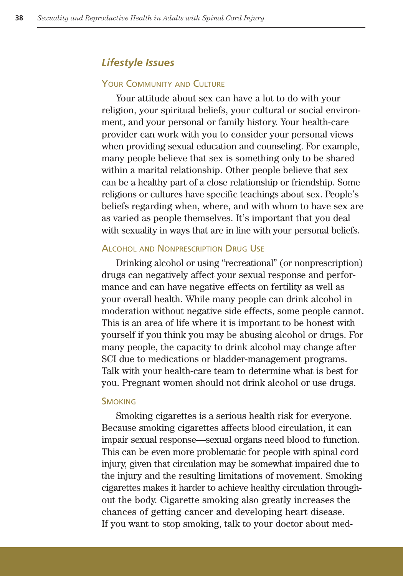## *Lifestyle Issues*

#### YOUR COMMUNITY AND CULTURE

Your attitude about sex can have a lot to do with your religion, your spiritual beliefs, your cultural or social environment, and your personal or family history. Your health-care provider can work with you to consider your personal views when providing sexual education and counseling. For example, many people believe that sex is something only to be shared within a marital relationship. Other people believe that sex can be a healthy part of a close relationship or friendship. Some religions or cultures have specific teachings about sex. People's beliefs regarding when, where, and with whom to have sex are as varied as people themselves. It's important that you deal with sexuality in ways that are in line with your personal beliefs.

#### **ALCOHOL AND NONPRESCRIPTION DRUG USE**

Drinking alcohol or using "recreational" (or nonprescription) drugs can negatively affect your sexual response and performance and can have negative effects on fertility as well as your overall health. While many people can drink alcohol in moderation without negative side effects, some people cannot. This is an area of life where it is important to be honest with yourself if you think you may be abusing alcohol or drugs. For many people, the capacity to drink alcohol may change after SCI due to medications or bladder-management programs. Talk with your health-care team to determine what is best for you. Pregnant women should not drink alcohol or use drugs.

#### **SMOKING**

Smoking cigarettes is a serious health risk for everyone. Because smoking cigarettes affects blood circulation, it can impair sexual response—sexual organs need blood to function. This can be even more problematic for people with spinal cord injury, given that circulation may be somewhat impaired due to the injury and the resulting limitations of movement. Smoking cigarettes makes it harder to achieve healthy circulation throughout the body. Cigarette smoking also greatly increases the chances of getting cancer and developing heart disease. If you want to stop smoking, talk to your doctor about med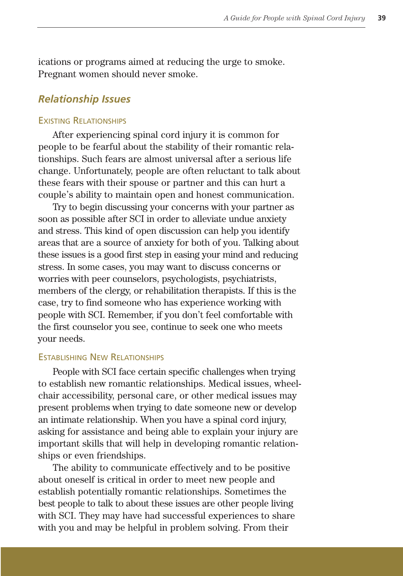ications or programs aimed at reducing the urge to smoke. Pregnant women should never smoke.

## *Relationship Issues*

#### EXISTING RELATIONSHIPS

After experiencing spinal cord injury it is common for people to be fearful about the stability of their romantic relationships. Such fears are almost universal after a serious life change. Unfortunately, people are often reluctant to talk about these fears with their spouse or partner and this can hurt a couple's ability to maintain open and honest communication.

Try to begin discussing your concerns with your partner as soon as possible after SCI in order to alleviate undue anxiety and stress. This kind of open discussion can help you identify areas that are a source of anxiety for both of you. Talking about these issues is a good first step in easing your mind and reducing stress. In some cases, you may want to discuss concerns or worries with peer counselors, psychologists, psychiatrists, members of the clergy, or rehabilitation therapists. If this is the case, try to find someone who has experience working with people with SCI. Remember, if you don't feel comfortable with the first counselor you see, continue to seek one who meets your needs.

#### ESTABLISHING NEW RELATIONSHIPS

People with SCI face certain specific challenges when trying to establish new romantic relationships. Medical issues, wheelchair accessibility, personal care, or other medical issues may present problems when trying to date someone new or develop an intimate relationship. When you have a spinal cord injury, asking for assistance and being able to explain your injury are important skills that will help in developing romantic relationships or even friendships. .

The ability to communicate effectively and to be positive about oneself is critical in order to meet new people and establish potentially romantic relationships. Sometimes the best people to talk to about these issues are other people living with SCI. They may have had successful experiences to share with you and may be helpful in problem solving. From their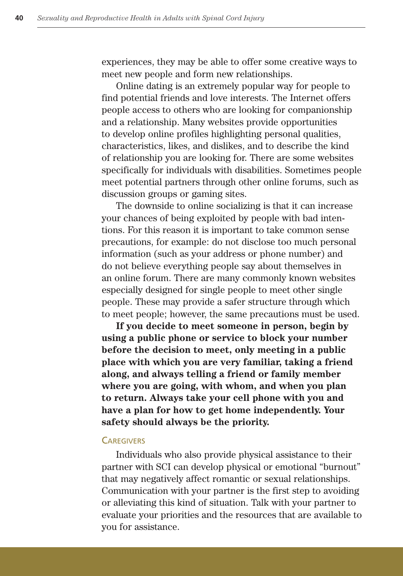experiences, they may be able to offer some creative ways to meet new people and form new relationships. .

Online dating is an extremely popular way for people to find potential friends and love interests. The Internet offers people access to others who are looking for companionship and a relationship. Many websites provide opportunities to develop online profiles highlighting personal qualities, characteristics, likes, and dislikes, and to describe the kind of relationship you are looking for. There are some websites specifically for individuals with disabilities. Sometimes people meet potential partners through other online forums, such as discussion groups or gaming sites.

The downside to online socializing is that it can increase your chances of being exploited by people with bad intentions. For this reason it is important to take common sense precautions, for example: do not disclose too much personal information (such as your address or phone number) and do not believe everything people say about themselves in an online forum. There are many commonly known websites especially designed for single people to meet other single people. These may provide a safer structure through which to meet people; however, the same precautions must be used.

**If you decide to meet someone in person, begin by using a public phone or service to block your number before the decision to meet, only meeting in a public place with which you are very familiar, taking a friend along, and always telling a friend or family member where you are going, with whom, and when you plan to return. Always take your cell phone with you and have a plan for how to get home independently. Your safety should always be the priority.**

#### **CAREGIVERS**

Individuals who also provide physical assistance to their partner with SCI can develop physical or emotional "burnout" that may negatively affect romantic or sexual relationships. Communication with your partner is the first step to avoiding or alleviating this kind of situation. Talk with your partner to evaluate your priorities and the resources that are available to you for assistance.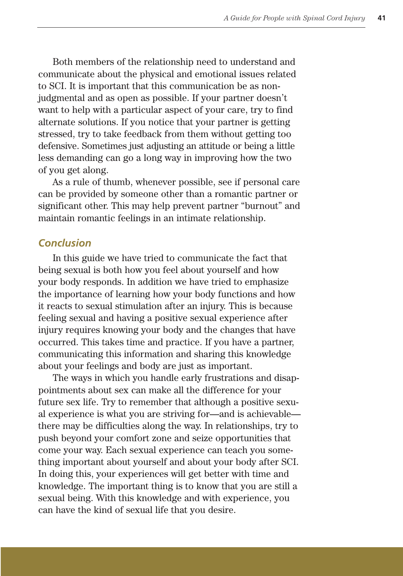Both members of the relationship need to understand and communicate about the physical and emotional issues related to SCI. It is important that this communication be as nonjudgmental and as open as possible. If your partner doesn't want to help with a particular aspect of your care, try to find alternate solutions. If you notice that your partner is getting stressed, try to take feedback from them without getting too defensive. Sometimes just adjusting an attitude or being a little less demanding can go a long way in improving how the two of you get along.

As a rule of thumb, whenever possible, see if personal care can be provided by someone other than a romantic partner or significant other. This may help prevent partner "burnout" and maintain romantic feelings in an intimate relationship.

## *Conclusion*

In this guide we have tried to communicate the fact that being sexual is both how you feel about yourself and how your body responds. In addition we have tried to emphasize the importance of learning how your body functions and how it reacts to sexual stimulation after an injury. This is because feeling sexual and having a positive sexual experience after injury requires knowing your body and the changes that have occurred. This takes time and practice. If you have a partner, communicating this information and sharing this knowledge about your feelings and body are just as important.

The ways in which you handle early frustrations and disappointments about sex can make all the difference for your future sex life. Try to remember that although a positive sexual experience is what you are striving for—and is achievable there may be difficulties along the way. In relationships, try to push beyond your comfort zone and seize opportunities that come your way. Each sexual experience can teach you something important about yourself and about your body after SCI. In doing this, your experiences will get better with time and knowledge. The important thing is to know that you are still a sexual being. With this knowledge and with experience, you can have the kind of sexual life that you desire.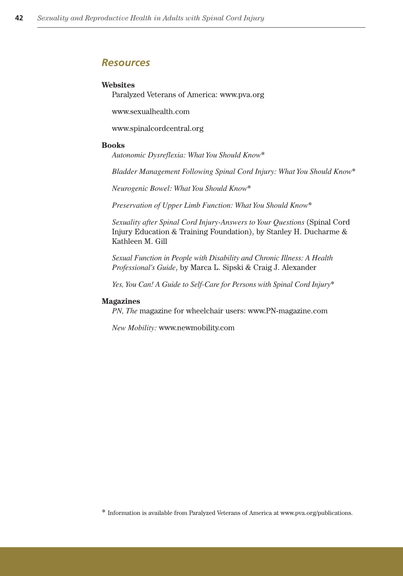#### *Resources*

#### **Websites**

Paralyzed Veterans of America: www.pva.org

www.sexualhealth.com

www.spinalcordcentral.org

#### **Books**

*Autonomic Dysreflexia: What You Should Know*\*

*Bladder Management Following Spinal Cord Injury: What You Should Know*\*

*Neurogenic Bowel: What You Should Know*\*

*Preservation of Upper Limb Function: What You Should Know*\*

*Sexuality after Spinal Cord Injury-Answers to Your Questions* (Spinal Cord Injury Education & Training Foundation), by Stanley H. Ducharme & Kathleen M. Gill

*Sexual Function in People with Disability and Chronic Illness: A Health Professional's Guide*, by Marca L. Sipski & Craig J. Alexander

*Yes, You Can! A Guide to Self-Care for Persons with Spinal Cord Injury*\*

#### **Magazines**

*PN, The* magazine for wheelchair users: www.PN-magazine.com

*New Mobility:* www.newmobility.com

 $^\ast$  Information is available from Paralyzed Veterans of America at www.pva.org/publications.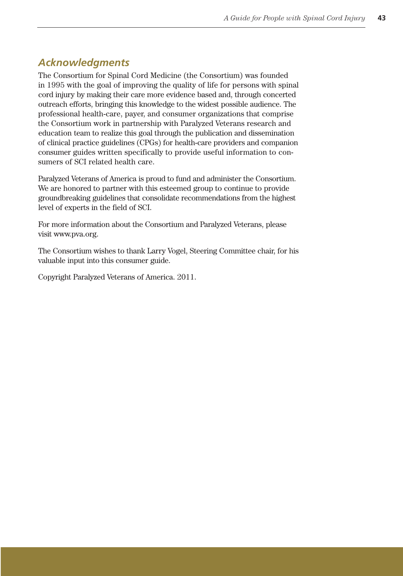## *Acknowledgments*

The Consortium for Spinal Cord Medicine (the Consortium) was founded in 1995 with the goal of improving the quality of life for persons with spinal cord injury by making their care more evidence based and, through concerted outreach efforts, bringing this knowledge to the widest possible audience. The professional health-care, payer, and consumer organizations that comprise the Consortium work in partnership with Paralyzed Veterans research and education team to realize this goal through the publication and dissemination of clinical practice guidelines (CPGs) for health-care providers and companion consumer guides written specifically to provide useful information to consumers of SCI related health care.

Paralyzed Veterans of America is proud to fund and administer the Consortium. We are honored to partner with this esteemed group to continue to provide groundbreaking guidelines that consolidate recommendations from the highest level of experts in the field of SCI.

For more information about the Consortium and Paralyzed Veterans, please visit www.pva.org.

The Consortium wishes to thank Larry Vogel, Steering Committee chair, for his valuable input into this consumer guide.

Copyright Paralyzed Veterans of America. 2011.